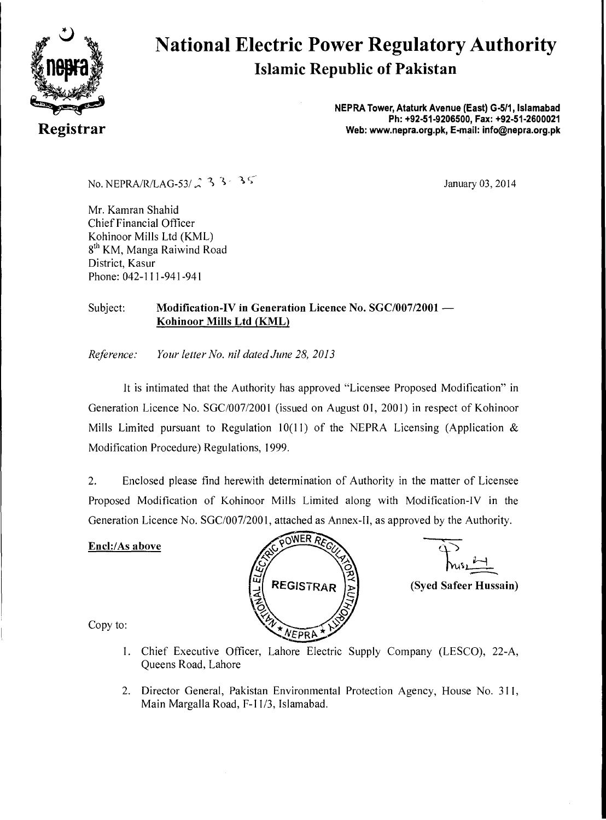

# **National Electric Power Regulatory Authority Islamic Republic of Pakistan**

**NEPRA Tower, Ataturk Avenue (East) G-511, Islamabad Ph: +92-51-9206500, Fax: +92-51-2600021 Registrar Web: www.nepra.org.pk, E-mail: info©nepra.org.pk** 

No. NEPRA/R/LAG-53/  $\angle$  3 3 3 3 5

Mr. Kamran Shahid Chief Financial Officer Kohinoor Mills Ltd (KML) 8<sup>th</sup> KM, Manga Raiwind Road District, Kasur Phone: 042-111-941-941

## Subject: **Modification-IV in Generation Licence No. SGC/007/2001 — Kohinoor Mills Ltd (KML)**

*Reference: Your letter No. nil dated June 28, 2013* 

It is intimated that the Authority has approved "Licensee Proposed Modification" in Generation Licence No. SGC/007/2001 (issued on August 01, 2001) in respect of Kohinoor Mills Limited pursuant to Regulation 10(11) of the NEPRA Licensing (Application  $\&$ Modification Procedure) Regulations, 1999.

2. Enclosed please find herewith determination of Authority in the matter of Licensee Proposed Modification of Kohinoor Mills Limited along with Modification-IV in the Generation Licence No. SGC/007/2001, attached as Annex-II, as approved by the Authority.

## **Encl:/As above**



**(Syed Safeer Hussain)** 

Copy to:

- 1. Chief Executive Officer, Lahore Electric Supply Company (LESCO), 22-A, Queens Road, Lahore
- 2. Director General, Pakistan Environmental Protection Agency, House No. 311, Main Margalla Road, F-11/3, Islamabad.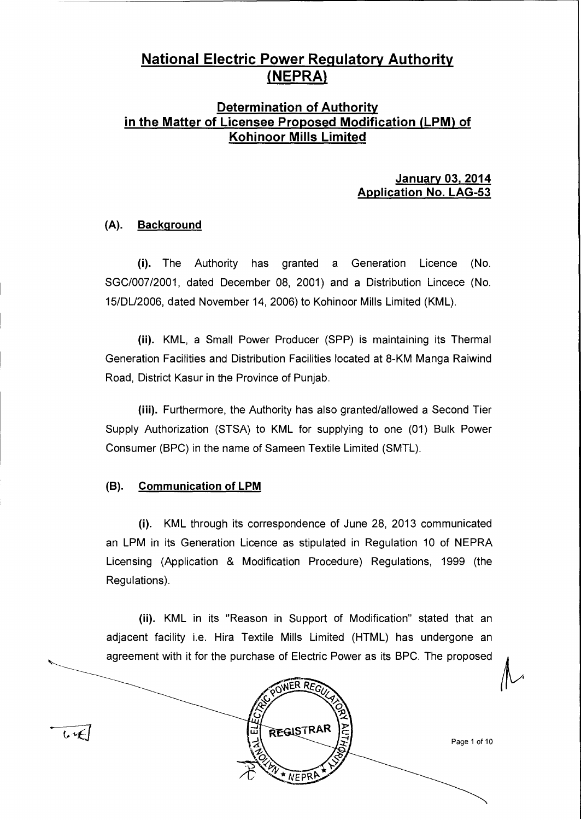# **National Electric Power Regulatory Authority NEPRA**

# **Determination of Authority in the Matter of Licensee Proposed Modification (LPM) of Kohinoor Mills Limited**

## **January 03, 2014 Application No. LAG-53**

## **(A). Background**

(i). The Authority has granted a Generation Licence (No. SGC/007/2001, dated December 08, 2001) and a Distribution Lincece (No. 15/DU2006, dated November 14, 2006) to Kohinoor Mills Limited (KML).

(ii). KML, a Small Power Producer (SPP) is maintaining its Thermal Generation Facilities and Distribution Facilities located at 8-KM Manga Raiwind Road, District Kasur in the Province of Punjab.

(iii). Furthermore, the Authority has also granted/allowed a Second Tier Supply Authorization (STSA) to KML for supplying to one (01) Bulk Power Consumer (BPC) in the name of Sameen Textile Limited (SMTL).

## **(B). Communication of LPM**

(i). KML through its correspondence of June 28, 2013 communicated an LPM in its Generation Licence as stipulated in Regulation 10 of NEPRA Licensing (Application & Modification Procedure) Regulations, 1999 (the Regulations).

(ii). KML in its "Reason in Support of Modification" stated that an adjacent facility i.e. Hira Textile Mills Limited (HTML) has undergone an agreement with it for the purchase of Electric Power as its BPC. The proposed

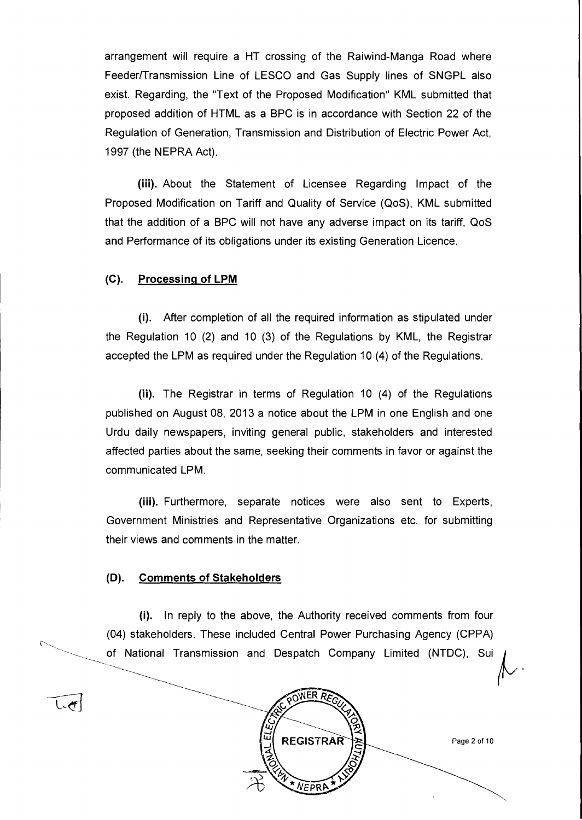arrangement will require a HT crossing of the Raiwind-Manga Road where Feeder/Transmission Line of LESCO and Gas Supply lines of SNGPL also exist. Regarding, the "Text of the Proposed Modification" KML submitted that proposed addition of HTML as a BPC is in accordance with Section 22 of the Regulation of Generation, Transmission and Distribution of Electric Power Act, 1997 (the NEPRA Act).

**(iii).** About the Statement of Licensee Regarding Impact of the Proposed Modification on Tariff and Quality of Service (QoS), KML submitted that the addition of a BPC will not have any adverse impact on its tariff, QoS and Performance of its obligations under its existing Generation Licence.

## **(C). Processing of LPM**

(i). After completion of all the required information as stipulated under the Regulation 10 (2) and 10 (3) of the Regulations by KML, the Registrar accepted the LPM as required under the Regulation 10 (4) of the Regulations.

(ii). The Registrar in terms of Regulation 10 (4) of the Regulations published on August 08, 2013 a notice about the **LPM** in one English and one Urdu daily newspapers, inviting general public, stakeholders and interested affected parties about the same, seeking their comments in favor or against the communicated LPM.

(iii). Furthermore, separate notices were also sent to Experts, Government Ministries and Representative Organizations etc. for submitting their views and comments in the matter.

#### **(13). Comments of Stakeholders**

 $\mathsf{L}\mathsf{t}$ 

(i). In reply to the above, the Authority received comments from four (04) stakeholders. These included Central Power Purchasing Agency (CPPA) of National Transmission and Despatch Company Limited (NTDC), Sui



Page 2 of 10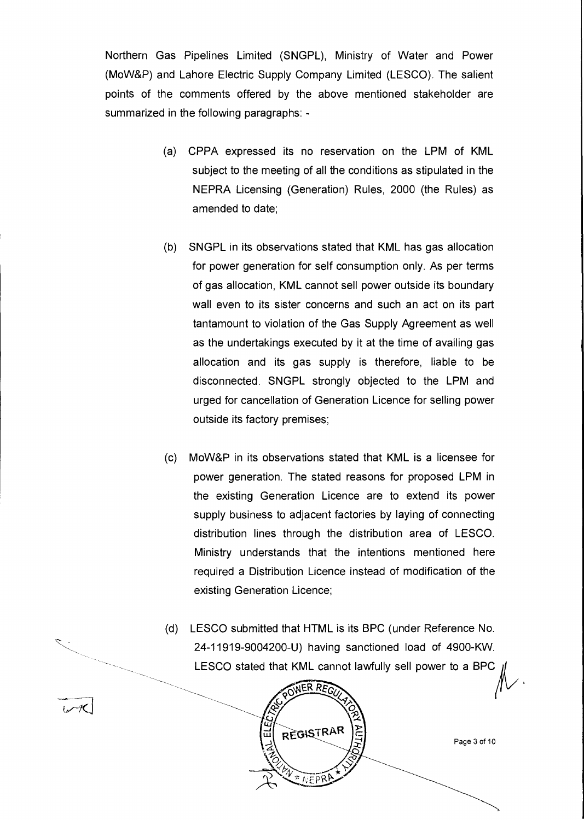Northern Gas Pipelines Limited (SNGPL), Ministry of Water and Power (MoW&P) and Lahore Electric Supply Company Limited (LESCO). The salient points of the comments offered by the above mentioned stakeholder are summarized in the following paragraphs: -

- (a) CPPA expressed its no reservation on the LPM of KML subject to the meeting of all the conditions as stipulated in the NEPRA Licensing (Generation) Rules, 2000 (the Rules) as amended to date;
- (b) SNGPL in its observations stated that KML has gas allocation for power generation for self consumption only. As per terms of gas allocation, KML cannot sell power outside its boundary wall even to its sister concerns and such an act on its part tantamount to violation of the Gas Supply Agreement as well as the undertakings executed by it at the time of availing gas allocation and its gas supply is therefore, liable to be disconnected. SNGPL strongly objected to the LPM and urged for cancellation of Generation Licence for selling power outside its factory premises;
- (c) MoW&P in its observations stated that KML is a licensee for power generation. The stated reasons for proposed LPM in the existing Generation Licence are to extend its power supply business to adjacent factories by laying of connecting distribution lines through the distribution area of LESCO. Ministry understands that the intentions mentioned here required a Distribution Licence instead of modification of the existing Generation Licence;
- (d) LESCO submitted that HTML is its BPC (under Reference No. 24-11919-9004200-U) having sanctioned load of 4900-KW. LESCO stated that KML cannot lawfully sell power to a BPC



Page 3 of 10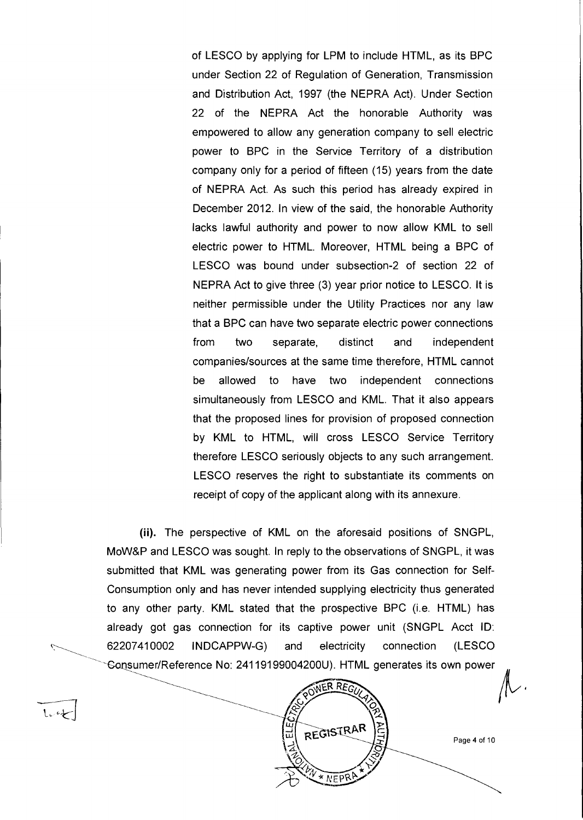of LESCO by applying for LPM to include HTML, as its BPC under Section 22 of Regulation of Generation, Transmission and Distribution Act, 1997 (the NEPRA Act). Under Section 22 of the NEPRA Act the honorable Authority was empowered to allow any generation company to sell electric power to BPC in the Service Territory of a distribution company only for a period of fifteen (15) years from the date of NEPRA Act. As such this period has already expired in December 2012. In view of the said, the honorable Authority lacks lawful authority and power to now allow KML to sell electric power to HTML. Moreover, HTML being a BPC of LESCO was bound under subsection-2 of section 22 of NEPRA Act to give three (3) year prior notice to LESCO. It is neither permissible under the Utility Practices nor any law that a BPC can have two separate electric power connections from two separate, distinct and independent companies/sources at the same time therefore, HTML cannot be allowed to have two independent connections simultaneously from LESCO and KML. That it also appears that the proposed lines for provision of proposed connection by KML to HTML, will cross LESCO Service Territory therefore LESCO seriously objects to any such arrangement. LESCO reserves the right to substantiate its comments on receipt of copy of the applicant along with its annexure.

(ii). The perspective of KML on the aforesaid positions of SNGPL, MoW&P and LESCO was sought. In reply to the observations of SNGPL, it was submitted that KML was generating power from its Gas connection for Self-Consumption only and has never intended supplying electricity thus generated to any other party. KML stated that the prospective BPC (i.e. HTML) has already got gas connection for its captive power unit (SNGPL Acct ID: 62207410002 INDCAPPW-G) and electricity connection (LESCO Gonsumer/Reference No: 24119199004200U). HTML generates its own power

 $L - 4$ 

VER REG

REGISTRAR

\* NEPR

Page 4 of 10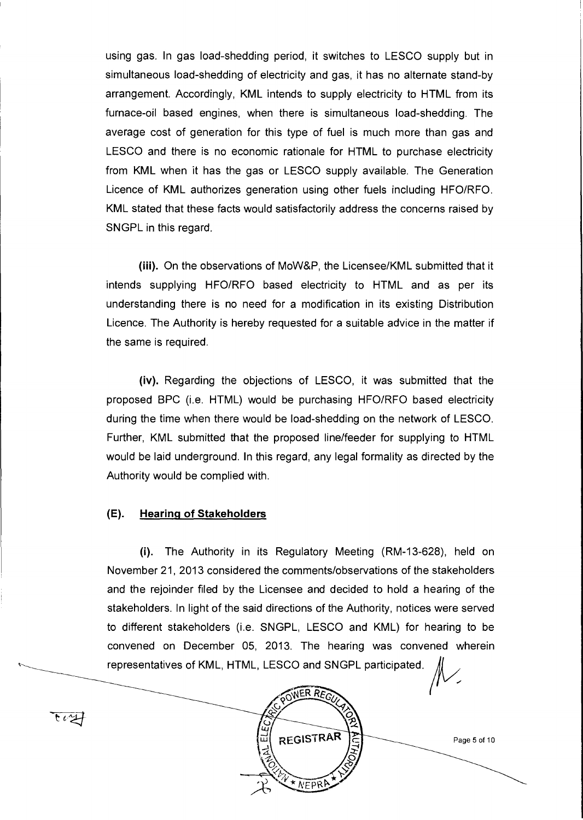using gas. In gas load-shedding period, it switches to LESCO supply but in simultaneous load-shedding of electricity and gas, it has no alternate stand-by arrangement. Accordingly, KML intends to supply electricity to HTML from its furnace-oil based engines, when there is simultaneous load-shedding. The average cost of generation for this type of fuel is much more than gas and LESCO and there is no economic rationale for HTML to purchase electricity from KML when it has the gas or LESCO supply available. The Generation Licence of KML authorizes generation using other fuels including HFO/RFO. KML stated that these facts would satisfactorily address the concerns raised by SNGPL in this regard.

(iii). On the observations of MoW&P, the Licensee/KML submitted that it intends supplying HFO/RFO based electricity to HTML and as per its understanding there is no need for a modification in its existing Distribution Licence. The Authority is hereby requested for a suitable advice in the matter if the same is required.

(iv). Regarding the objections of LESCO, it was submitted that the proposed BPC (i.e. HTML) would be purchasing HFO/RFO based electricity during the time when there would be load-shedding on the network of LESCO. Further, KML submitted that the proposed line/feeder for supplying to HTML would be laid underground. In this regard, any legal formality as directed by the Authority would be complied with.

#### **(E). Hearing of Stakeholders**

(i). The Authority in its Regulatory Meeting (RM-13-628), held on November 21, 2013 considered the comments/observations of the stakeholders and the rejoinder filed by the Licensee and decided to hold a hearing of the stakeholders. In light of the said directions of the Authority, notices were served to different stakeholders (i.e. SNGPL, LESCO and KML) for hearing to be convened on December 05, 2013. The hearing was convened wherein representatives of KML, HTML, LESCO and SNGPL participated.



Page 5 of 10

 $\overline{\mathfrak{r}}$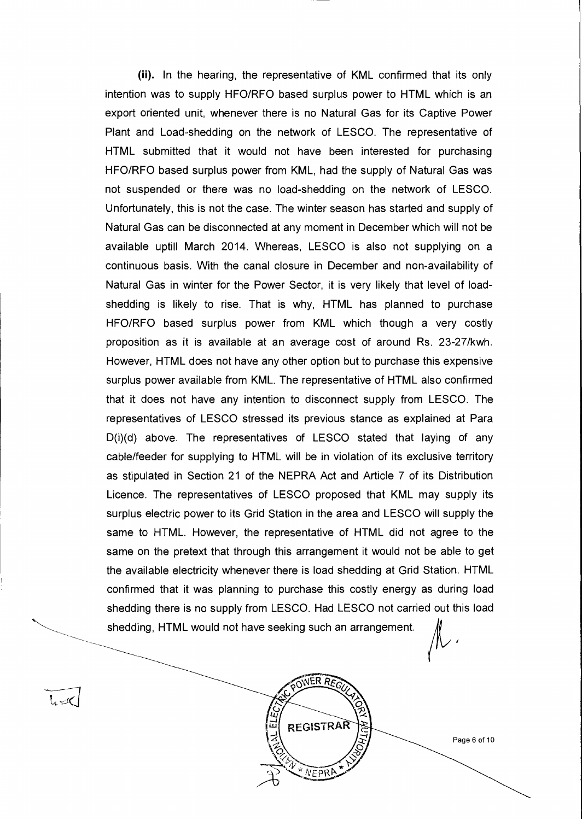(ii). In the hearing, the representative of KML confirmed that its only intention was to supply HFO/RFO based surplus power to HTML which is an export oriented unit, whenever there is no Natural Gas for its Captive Power Plant and Load-shedding on the network of LESCO. The representative of HTML submitted that it would not have been interested for purchasing HFO/RFO based surplus power from KML, had the supply of Natural Gas was not suspended or there was no load-shedding on the network of LESCO. Unfortunately, this is not the case. The winter season has started and supply of Natural Gas can be disconnected at any moment in December which will not be available uptill March 2014. Whereas, LESCO is also not supplying on a continuous basis. With the canal closure in December and non-availability of Natural Gas in winter for the Power Sector, it is very likely that level of loadshedding is likely to rise. That is why, HTML has planned to purchase HFO/RFO based surplus power from KML which though a very costly proposition as it is available at an average cost of around Rs. 23-27/kwh. However, HTML does not have any other option but to purchase this expensive surplus power available from KML. The representative of HTML also confirmed that it does not have any intention to disconnect supply from LESCO. The representatives of LESCO stressed its previous stance as explained at Para D(i)(d) above. The representatives of LESCO stated that laying of any cable/feeder for supplying to HTML will be in violation of its exclusive territory as stipulated in Section 21 of the NEPRA Act and Article 7 of its Distribution Licence. The representatives of LESCO proposed that KML may supply its surplus electric power to its Grid Station in the area and LESCO will supply the same to HTML. However, the representative of HTML did not agree to the same on the pretext that through this arrangement it would not be able to get the available electricity whenever there is load shedding at Grid Station. HTML confirmed that it was planning to purchase this costly energy as during load shedding there is no supply from LESCO. Had LESCO not carried out this load shedding, HTML would not have seeking such an arrangement.

OWER REG

**REGISTRAR** 

\* NEPRA



 $l \sim$ 

Page 6 of 10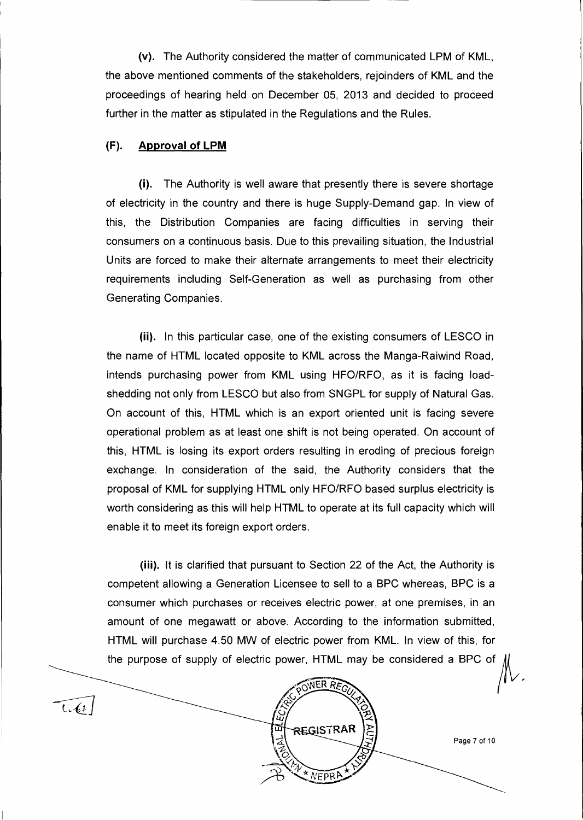**(v).** The Authority considered the matter of communicated LPM of KML, the above mentioned comments of the stakeholders, rejoinders of KML and the proceedings of hearing held on December 05, 2013 and decided to proceed further in the matter as stipulated in the Regulations and the Rules.

## **(F). Approval of LPM**

(i). The Authority is well aware that presently there is severe shortage of electricity in the country and there is huge Supply-Demand gap. In view of this, the Distribution Companies are facing difficulties in serving their consumers on a continuous basis. Due to this prevailing situation, the Industrial Units are forced to make their alternate arrangements to meet their electricity requirements including Self-Generation as well as purchasing from other Generating Companies.

(ii). In this particular case, one of the existing consumers of LESCO in the name of HTML located opposite to KML across the Manga-Raiwind Road, intends purchasing power from KML using HFO/RFO, as it is facing loadshedding not only from LESCO but also from SNGPL for supply of Natural Gas. On account of this, HTML which is an export oriented unit is facing severe operational problem as at least one shift is not being operated. On account of this, HTML is losing its export orders resulting in eroding of precious foreign exchange. In consideration of the said, the Authority considers that the proposal of KML for supplying HTML only HFO/RFO based surplus electricity is worth considering as this will help HTML to operate at its full capacity which will enable it to meet its foreign export orders.

(iii). It is clarified that pursuant to Section 22 of the Act, the Authority is competent allowing a Generation Licensee to sell to a BPC whereas, BPC is a consumer which purchases or receives electric power, at one premises, in an amount of one megawatt or above. According to the information submitted, HTML will purchase 4.50 MW of electric power from KML. In view of this, for the purpose of supply of electric power, HTML may be considered a BPC of

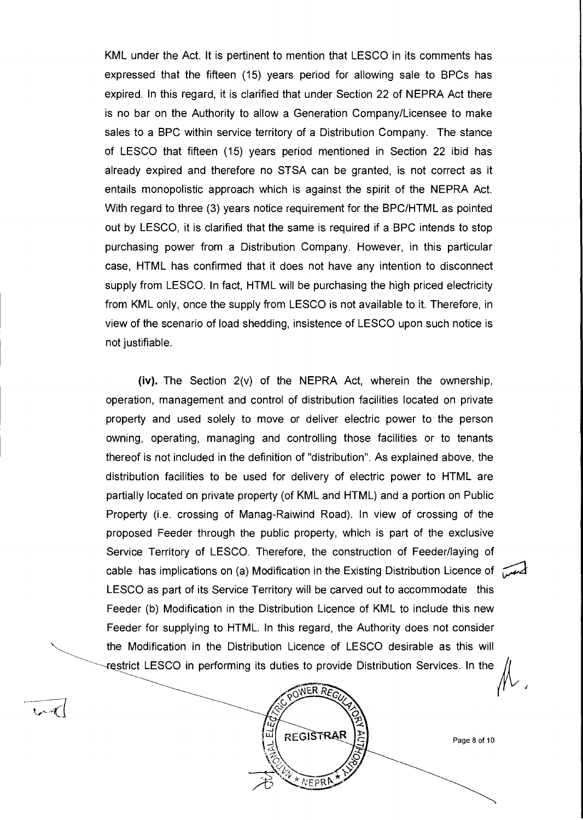KML under the Act. It is pertinent to mention that LESCO in its comments has expressed that the fifteen (15) years period for allowing sale to BPCs has expired. In this regard, it is clarified that under Section 22 of NEPRA Act there is no bar on the Authority to allow a Generation Company/Licensee to make sales to a BPC within service territory of a Distribution Company. The stance of LESCO that fifteen (15) years period mentioned in Section 22 ibid has already expired and therefore no STSA can be granted, is not correct as it entails monopolistic approach which is against the spirit of the NEPRA Act. With regard to three (3) years notice requirement for the BPC/HTML as pointed out by LESCO, it is clarified that the same is required if a BPC intends to stop purchasing power from a Distribution Company. However, in this particular case, HTML has confirmed that it does not have any intention to disconnect supply from LESCO. In fact, HTML will be purchasing the high priced electricity from KML only, once the supply from LESCO is not available to it. Therefore, in view of the scenario of load shedding, insistence of LESCO upon such notice is not justifiable.

(iv). The Section 2(v) of the NEPRA Act, wherein the ownership, operation, management and control of distribution facilities located on private property and used solely to move or deliver electric power to the person owning, operating, managing and controlling those facilities or to tenants thereof is not included in the definition of "distribution". As explained above, the distribution facilities to be used for delivery of electric power to HTML are partially located on private property (of KML and HTML) and a portion on Public Property (i.e. crossing of Manag-Raiwind Road). In view of crossing of the proposed Feeder through the public property, which is part of the exclusive Service Territory of LESCO. Therefore, the construction of Feeder/laying of cable has implications on (a) Modification in the Existing Distribution Licence of ty LESCO as part of its Service Territory will be carved out to accommodate this Feeder (b) Modification in the Distribution Licence of KML to include this new Feeder for supplying to HTML. In this regard, the Authority does not consider the Modification in the Distribution Licence of LESCO desirable as this will restrict LESCO in performing its duties to provide Distribution Services. In the



 $\mathcal{L}$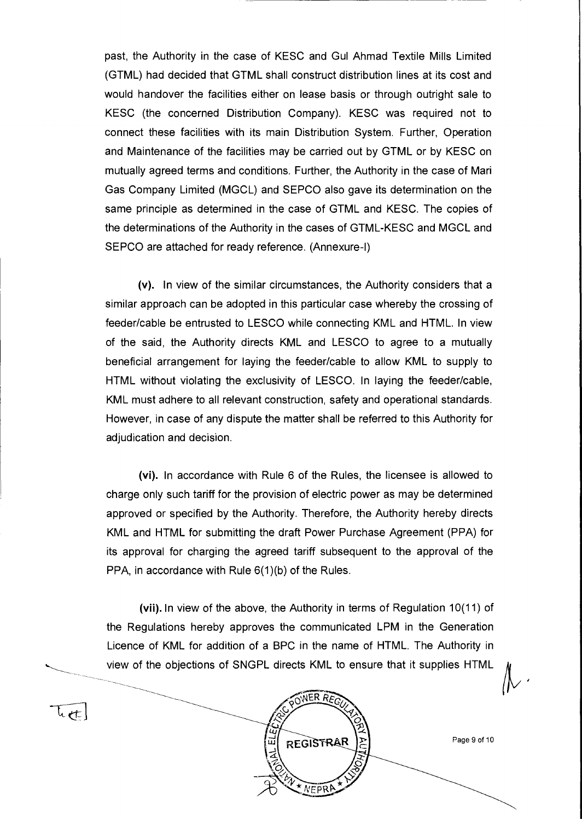past, the Authority in the case of KESC and Gul Ahmad Textile Mills Limited (GTML) had decided that GTML shall construct distribution lines at its cost and would handover the facilities either on lease basis or through outright sale to KESC (the concerned Distribution Company). KESC was required not to connect these facilities with its main Distribution System. Further, Operation and Maintenance of the facilities may be carried out by GTML or by KESC on mutually agreed terms and conditions. Further, the Authority in the case of Mari Gas Company Limited (MGCL) and SEPCO also gave its determination on the same principle as determined in the case of GTML and KESC. The copies of the determinations of the Authority in the cases of GTML-KESC and MGCL and SEPCO are attached for ready reference. (Annexure-l)

(v). In view of the similar circumstances, the Authority considers that a similar approach can be adopted in this particular case whereby the crossing of feeder/cable be entrusted to LESCO while connecting KML and HTML. In view of the said, the Authority directs KML and LESCO to agree to a mutually beneficial arrangement for laying the feeder/cable to allow KML to supply to HTML without violating the exclusivity of LESCO. In laying the feeder/cable, KML must adhere to all relevant construction, safety and operational standards. However, in case of any dispute the matter shall be referred to this Authority for adjudication and decision.

(vi). In accordance with Rule 6 of the Rules, the licensee is allowed to charge only such tariff for the provision of electric power as may be determined approved or specified by the Authority. Therefore, the Authority hereby directs KML and HTML for submitting the draft Power Purchase Agreement (PPA) for its approval for charging the agreed tariff subsequent to the approval of the PPA, in accordance with Rule 6(1)(b) of the Rules.

(vii). In view of the above, the Authority in terms of Regulation 10(11) of the Regulations hereby approves the communicated LPM in the Generation Licence of KML for addition of a BPC in the name of HTML. The Authority in view of the objections of SNGPL directs KML to ensure that it supplies HTML



Page 9 of 10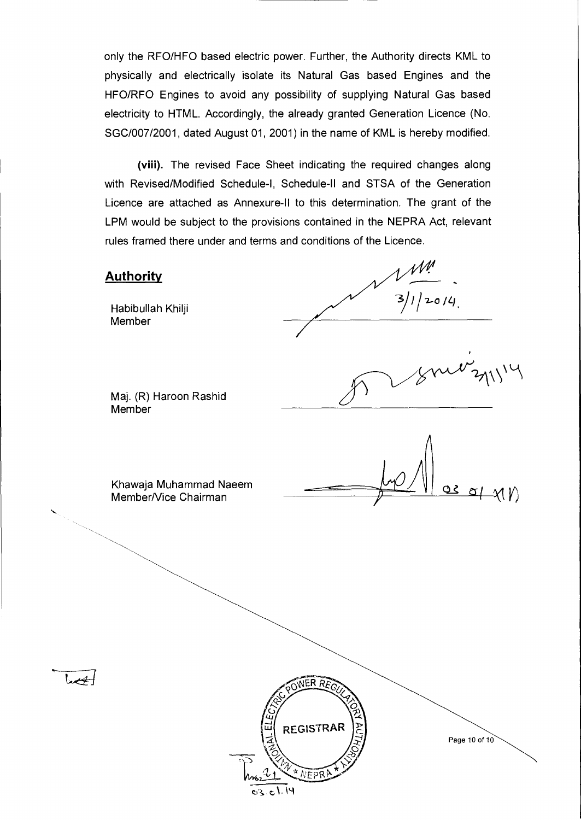only the RFO/HFO based electric power. Further, the Authority directs KML to physically and electrically isolate its Natural Gas based Engines and the HFO/RFO Engines to avoid any possibility of supplying Natural Gas based electricity to HTML. Accordingly, the already granted Generation Licence (No. SGC/007/2001, dated August 01, 2001) in the name of KML is hereby modified.

(viii). The revised Face Sheet indicating the required changes along with Revised/Modified Schedule-I, Schedule-II and STSA of the Generation Licence are attached as Annexure-II to this determination. The grant of the LPM would be subject to the provisions contained in the NEPRA Act, relevant rules framed there under and terms and conditions of the Licence.

## **Authority**

Habibullah Khilji Member

 $\frac{1}{3}$ <br> $\frac{3}{1}$   $\frac{2014}{1}$ 

Maj. (R) Haroon Rashid **Member** 

 $\mathcal{X}(\mathcal{V})$ 

Khawaja Muhammad Naeem Member/Vice Chairman





Page 10 of 10

 $371114$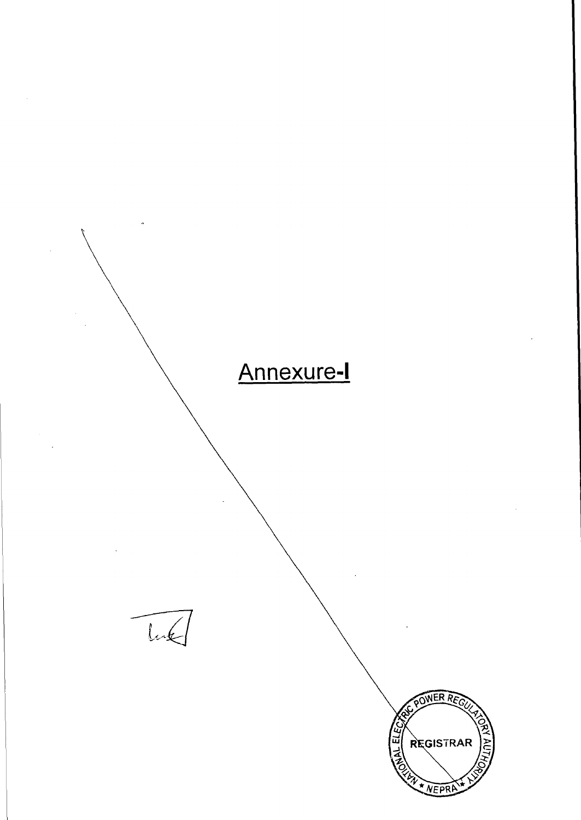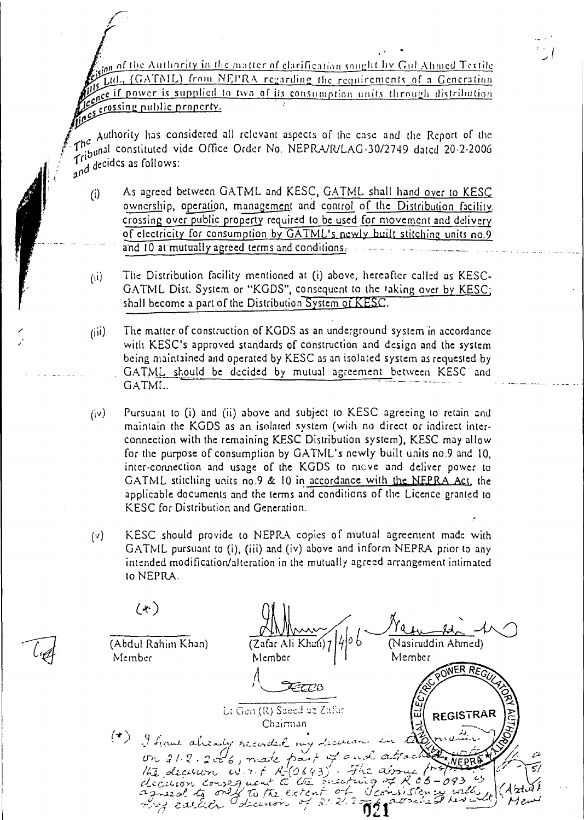Ing of the Authority in the matter of clarification sought by Gul Ahmed Textile buttel., (GATML) from NEPRA regarding the requirements of a Generation The ce if power is supplied to two of its consumption units through distribution is consumption to the rough distribution res crossing public property.

Authority has considered all relevant aspects of the case and the Report of the In the national constituted vide Office Order No. NEPRA/R/LAG-30/2749 dated 20-2-2006  $\int_{\mathfrak{g}^{\text{nd}}}^{\mathfrak{g}^{\text{nd}}}$  decides as follows:

- As agreed between GATML and KESC, GATML shall hand over to KESC  $(i)$ ownership, operation, management and control of the Distribution facility. crossing over public property required to be used for movement and delivery of electricity for consumption by GATML's newly built stitching units no.9 and 10 at mutually agreed terms and conditions,-
- $(i)$  The Distribution facility mentioned at (i) above, hereafter called as KESC-GATML Dist. System or "KGDS", consequent to the taking over by KESC; shall become a part of the Distribution System of KESC.
- $(iii)$  The matter of construction of KGDS as an underground system in accordance with KESC's approved standards of construction and design and the system being maintained and operated by KESC as an isolated system as requested by GATML should be decided by mutual agreement between KESC and GATML.
- $(iv)$  Pursuant to (i) and (ii) above and subject to KESC agreeing to retain and maintain the KGDS as an isolated system (with no direct or indirect interconnection with the remaining KESC Distribution system), KESC may allow for the purpose of consumption by GATML's newly built units no.9 and 10, inter-connection and usage of the KGDS to move and deliver power to GATML stitching units no.9 & 10 in accordance with the NFPRA Act, the applicable documents and the terms and conditions of the Licence granted to KESC for Distribution and Generation.
- (v) KESC should provide to NEPRA copies of mutual agreement made with GATML pursuant to (i), (iii) and (iv) above and inform NEPRA prior to any intended modification/alteration in the mutually agreed arrangement intimated to NEPRA.

 $(x)$ (Abdul Rahiin Khan) (Zafar Ali Khan)<sup>.</sup> (Nasiruddin Ahmed) Member Member  $\left\lceil \frac{1}{2} \right\rceil$ Member 3778 Lt Gen (R) Saeed uz Zafar **REGISTRAR** Chairman already recorded my decurrent in I have already recorded my decision in the main of */* - SY  $\begin{array}{c} \n\text{array}{\text{minimize}} \n\begin{array}{l}\n\text{sum} \\
\text{sum} \\
\text{sum} \\
\text{sum} \\
\text{sum} \\
\text{sum} \\
\text{sum} \\
\text{sum} \\
\text{sum} \\
\text{sum} \\
\text{sum} \\
\text{sum}\n\end{array} \n\end{array}$ the decision course went to lite meeting of R 05-093 is<br>decision courses went to lite meeting of R 05-093 is 2256 apr and who concentrated the set of 2.1.2 min  $\frac{1}{2}$  caller Ideemon of 21.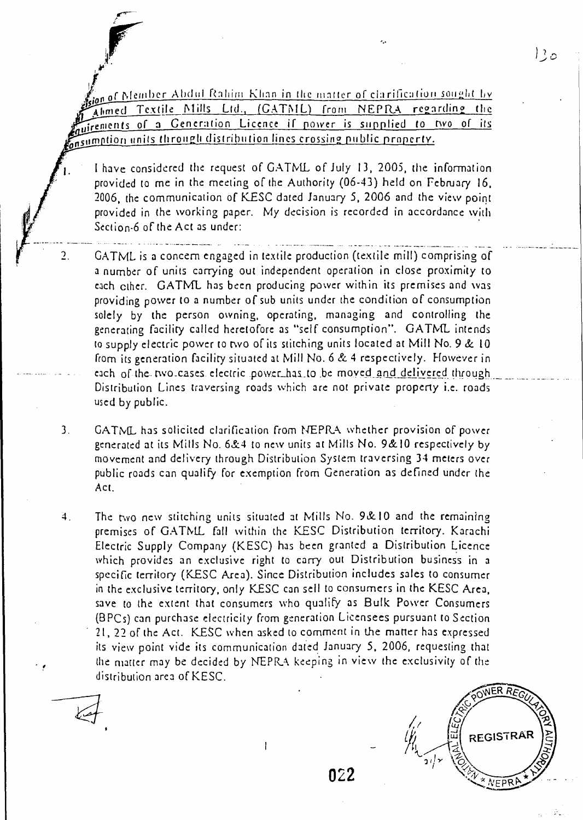$\ell$ ion <u>of Member Abdul Rahim Khan in the matter of clarification sought by</u> Ahmed Textile Mills Ltd., (CATML) from NEPRA regarding the uirements of a Generation Licence if power is supplied to two of its insumption units through distribution lines crossing public property.

I have considered the request of GATML of July 13, 2005, the information provided to me in the meeting of the Authority (06-43) held on February 16, 2006, the communication of KESC dated January 5, 2006 and the view point provided in the working paper. My decision is recorded in accordance with Section-6 of the Act as under:

- 2. GATML is a concern engaged in textile production (textile mill) comprising of a number of units carrying out independent operation in close proximity to each other. GATML has been producing power within its premises and was providing power to a number of sub units under the condition of consumption solely by the person owning, operating, managing and controlling the generating facility called heretofore as "self consumption". GATML intends to supply electric power to two of its stitching units located at Mill No. 9 & 10 from its generation facility situated at Mill No. 6 & 4 respectively. However in each of the two.cases electric power\_has to be moved and delivered through Distribution Lines traversing roads which are not private property i.e. roads used by public.
- 3. GATML has solicited clarification from NEPRA whether provision of power generated at its Mills No.  $6&4$  to new units at Mills No. 9&10 respectively by movement and delivery through Distribution System traversing 34 meters over public roads can qualify for exemption from Generation as defined under the Act.
- 4. The two new stitching units situated at Mills No. 9&10 and the remaining premises of GATML fall within the KESC Distribution territory. Karachi Electric Supply Company (KESC) has been granted a Distribution Licence which provides an exclusive right to carry out Distribution business in a specific territory (KESC Area). Since Distribution includes sales to consumer in the exclusive territory, only KESC can sell to consumers in the KESC Area, save to the extent that consumers who qualify as Bulk Power Consumers (BPCs) can purchase electricity from generation Licensees pursuant to Section 21, 22 of the Act. KESC when asked to comment in the matter has expressed its view point vide its communication dated January 5, 2006, requesting that the matter may be decided by NEPRA keeping in view the exclusivity of the distribution area of KESC.

 $\mathbf{I}$ 



 $12$ o

022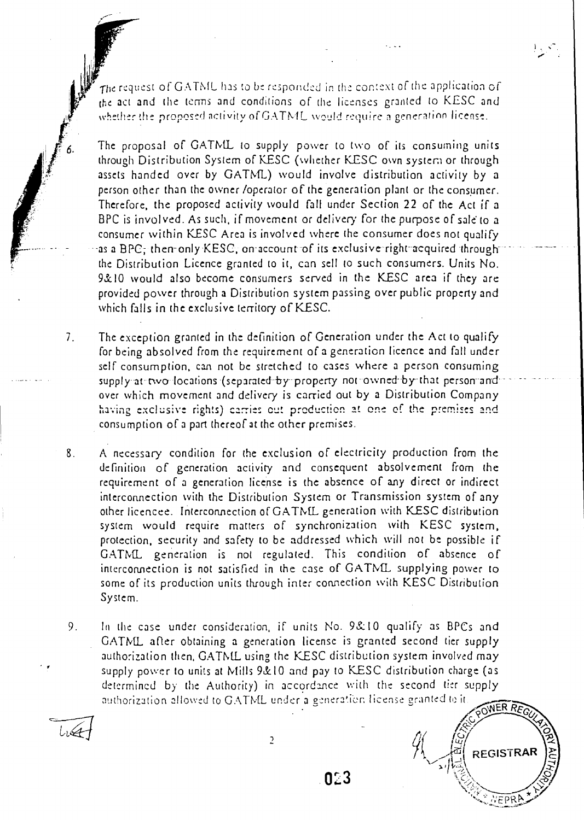The request of GATML has to be responded in the context of the application of the act and the terms and conditions of the licenses granted to KESC and whether the proposed activity of GATML would require a generation license.

The proposal of GATML to supply power to two of its consuming units through Distribution System of KESC (whether K.ESC own system or through assets handed over by GATML) would involve distribution activity by a person other than the owner /operator of the generation plant or the consumer. Therefore, the proposed activity would fall under Section 22 of the Act if a BPC is involved. As such, if movement or delivery for the purpose of sale to a consumer within KESC Area is involved where the consumer does not qualify as a BPC; then-only KESC, on-account of its exclusive right-acquired through the Distribution Licence granted to it, can sell to such consumers. Units No. 9&10 would also become consumers served in the KESC area if they are provided power through a Distribution system passing over public property and which falls in the exclusive territory of KESC.

7. The exception granted in the definition of Generation under the Act to qualify for being absolved from the requirement of a generation licence and fall under self consumption, can not be stretched to cases where a person consuming supply at-two locations (separated by property not owned by that person and over which movement and delivery is carried out by a Distribution Company having exclusive rights) caries cut production at one of the premises and consumption of a part thereof at the other premises.

8. A necessary condition for the exclusion of electricity production from the definition of generation activity and consequent absolvement from the requirement of a generation license is the absence of any direct or indirect interconnection with the Distribution System or Transmission system of any other licencee. Interconnection of GATML generation with KESC distribution system would require matters of synchronization with KESC system, protection, security and safety to be addressed which will not be possible if GATML generation is not regulated. This condition of absence of interconnection is not satisfied in the case of GATML supplying power to some of its production units through inter connection with KESC Distribution System.

9. In the case under consideration, if units No. 9& 10 qualify as BPCs and GATML after obtaining a generation license is granted second tier supply authorization then, GATML using the KESC distribution system involved may supply power to units at Mills 9&10 and pay to KESC distribution charge (as determined by the Authority) in accordance with the second tier supply authorization allowed to GATML under a generation license granted to it. ,-,44 ER *RE*<sup>G</sup> If units No. 9&10 qualify as BPCs and<br>ation license is granted second tier supp<br>the KESC distribution system involved m:<br>10 and pay to KESC distribution charge (and accordance with the second tier supp<br>under a generation as BPCs and<br>
nd tier supply<br>
involved may<br>
ion charge (as<br>
d tier supply<br>
ted to it<br>  $\bigcirc \overbrace{PONERREGLN}$ <br>
REGISTRAR

 $.023$ 

C.)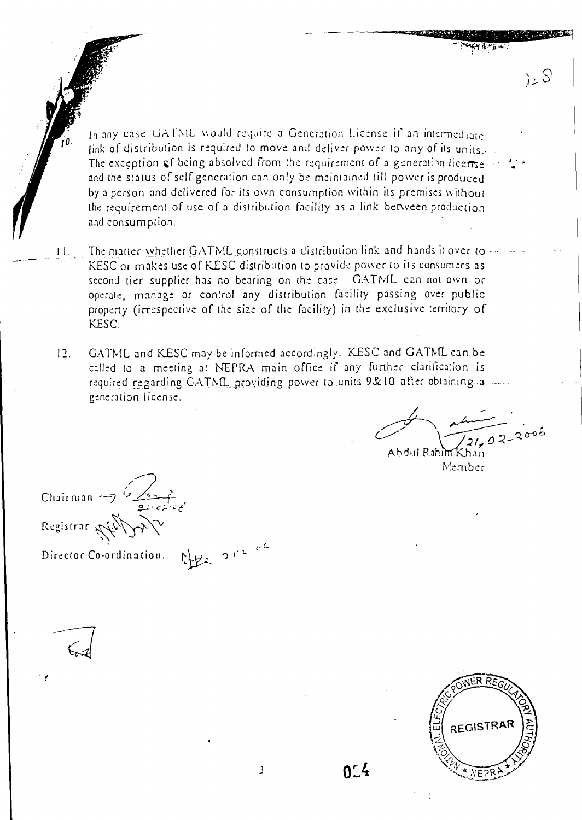In any case GATML would require a Generation License if an intermediate link of distribution is required to move and deliver power to any of its units. The exception of being absolved from the requirement of a generation license and the status of self generation can only be maintained till power is produced by a person and delivered for its own consumption within its premises without the requirement of use of a distribution facility as a link between production and consumption.

- The matter whether GATML constructs a distribution link and hands it over to  $11.$ KESC or makes use of KESC distribution to provide power to its consumers as second tier supplier has no bearing on the case. GATML can not own or operate, manage or control any distribution facility passing over public property (irrespective of the size of the facility) in the exclusive territory of KESC.
- I?. GATML and KESC may be informed accordingly. KESC and GATML can be called to a meeting at NEPRA main office if any further clarification is required regarding GATML providing power to units 9&10 after obtaining a generation license.

*.../...------- \_\_\_\_\_\_---- • , C*  **1** 21, 0 2 - 2006

 $72S$ 

Abdul Rahim Khan Member

Chairman  $\frac{1}{2}$ Registrar

CHEL 212 ge Director Co-ordination.

REGISTRAR NEPR

 $0.4$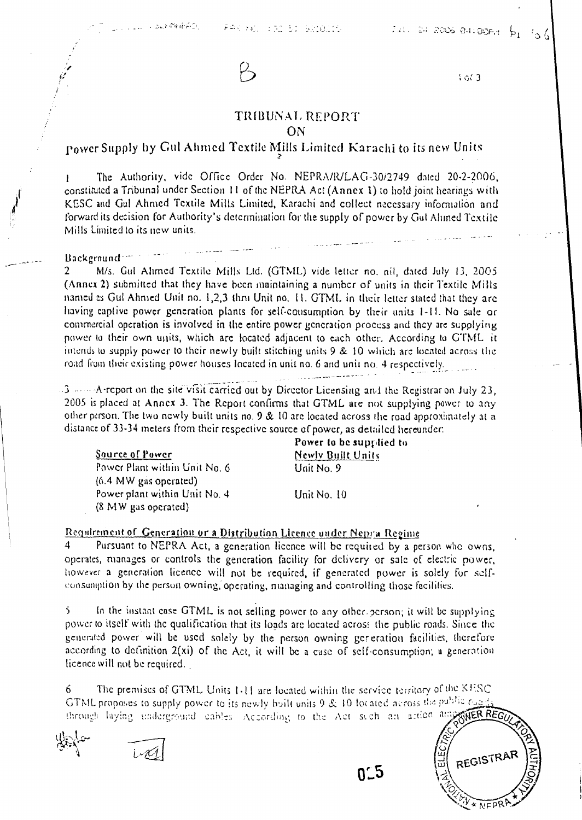

 $3<sub>0</sub>$ 

## TRIBUNAL REPORT ON

# rower Supply by Gni Ahmed Textile Mills Limited Karachi to its new Units

The Authority, vide Office Order No. NEPRA/R/LAG-30i2749 dated 20-2-2006, constituted a Tribunal under Section 11 of the NEPRA Act (Annex 1) to hold joint hearings with KESC and Gul Ahmed Textile Mills Limited, Karachi and collect necessary information and forward its decision for Authority's determination for the supply of power by Gut Ahmed Textile Mills Limited to its new units.

#### Background<sup>-100</sup>

2 M/s. Gul Ahmed Textile Mills Ltd. (GTML) vide letter no. nil, dated July 13, 2005 (Annex 2) submitted that they have been maintaining a number of units in their Textile Mills named es Gut Ahmed Unit no. 1,2,3 thm Unit no. 11. GTML in their letter suited that they are having captive power generation plants for self-consumption by their units 1-11. No sale or commercial operation is involved in the entire power generation process and they arc supplying power to their own units, which arc located adjacent to each other. According to GTML it intends to supply power to their newly built stitching units 9 & 10 which arc located across the road from their existing power houses located in unit no. 6 and unit no. 4 respectively.

. --A-report on the site visit carried out by Director Licensing and the Registrar on July 23, 2005 is placed at Annex 3. The Report confirms that GTML are not supplying power to any other person. The two newly built units no. 9 & 10 arc located across the road approximately at a distancc of 33-34 meters from their respective source of power, as detailed hereunder:

Power Plant within Unit No. 6 Unit No. 9 (6.4 MW gas operated) Power plant within Unit No. 4 Unit No. 10 (8 MW gas operated)

Power to be supplied to Source of Power Newly Built Units

## Requirement of Generation or a Distribution Licence under Nepra Regime.

Pursuant to NEPRA Act, a generation licence will be required by a person who owns, operates, manages or controls the generation facility for delivery or sale of electric power, however a generation licence will not be required, if generated power is solely fur selfconsumption by the person owning, operating, managing and controlling those facilities.

5 In the instant case GTML is not selling power to any other. person; it will be supplying power to itself with the qualification that its loads arc located across the public roads. Since the generated power will be used solely by the person owning generation facilities, therefore according to definition 2(xi) of the Act, it will be a case of self-consumption; a generation licence will not be required.

6 The premises of GTML Units 1.11 are located within the service territory of the KFSC GTML proposes to supply power to its newly built units 9 & 10 focated across the public rog; through laying underground cables. According to the Act such an action any ANER REG

 $0.5$ 

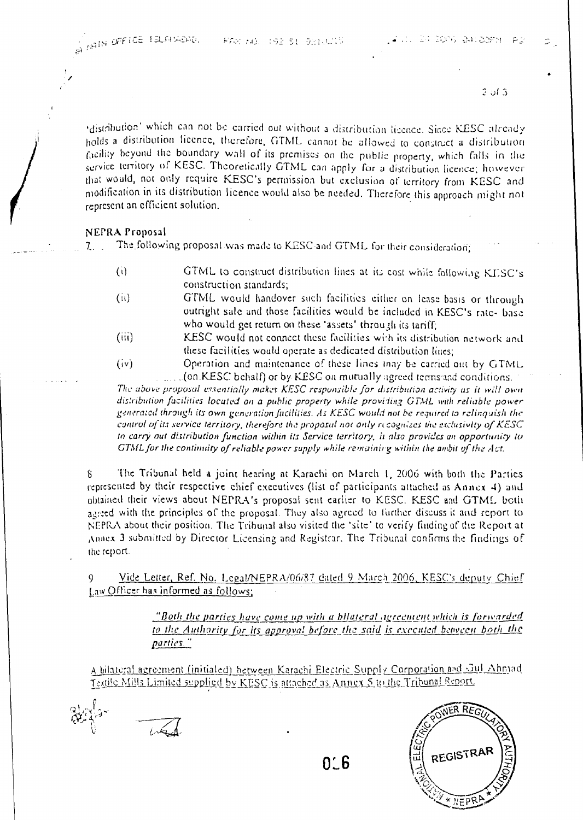*2 ul* 

'distribution' which can not be carried out without a distribution licence. Since KESC already holds a distribution licence, therefore, CITNIL cannot he allowed to construct a distribution facility beyond the boundary wall of its premises on the public property, which Calls in the service territory of KESC. Theoretically GTML can apply for a distribution licence; however that would, not only require KESC's permission but exclusion of territory from KESC and modification in its distribution licence would also be needed. Therefore this approach might not represent an efficient solution.

## NEPRA Proposal

\_ The\_following, proposal was made to KESC-and GTML for their consideration;

- (i) GTML to construct distribution lines at its cost while following KESC's construction standards;
- (ii) GTML would handover such facilities either on lease basis or through outright sale and those facilities would be included in KESC's rate- base who would get return on these 'assets' through its tariff;
- (iii) KESC would not connect these facilities with its distribution network and these facilities would operate as dedicated distribution lines;
- (iv) Operation and maintenance of these lines may be carried out by GTML. (on KESC behalf) or by KESC on mutually agreed terms and conditions.

The above proposal essentially makes KESC responsible for distribution activity as it will own distribution facilities located on a public property while providing GTML with reliable power *generated through its own gcneration fitcaities. As KESC would not be required to relinquish the control of its service territory, therefore the proposal not only ncognzes the exclusivity of KESC in carry nut distribution function within its Service territory, it also provides un opportunity to GTAIL for the continuity of reliable power supply while re' tainirg within the ambit of* the Act.

8 The Tribunal held a joint hearing at Karachi on March 1, 2006 with both the Parties represented by their respective chief executives (list of participants attached as Annex 4) and obtained their views about NEPRA's proposal sent earlier to KESC. KESC and GTML both agreed with the principles of the proposal. They also agreed to further discuss it and report to NEPRA about their position. The Tribunal also visited the 'site' to verify finding of the Report at ,Annex 3 submitted by Director Licensing and Registrar. The Tribunal confirms the findings of the report.

9 Vide Letter, Ref. No. Legal/NEPRA/06/87 dated 9 March 2006, KESC's deputy Chief Law Officer has informed as follows;

> *"Both the parties have come up with a bilateral agreement which is forwarded to the Authority for its approval before the said is executed between both the parties..'*

A bilateral agreement (initialed) between Karachi Electric Supply Corporation and Gul Ahmad Testile Mills Limited supplied by KESC is attached as Annex 5 to the Tribunal Report.

1.:

REGISTRAF

0'6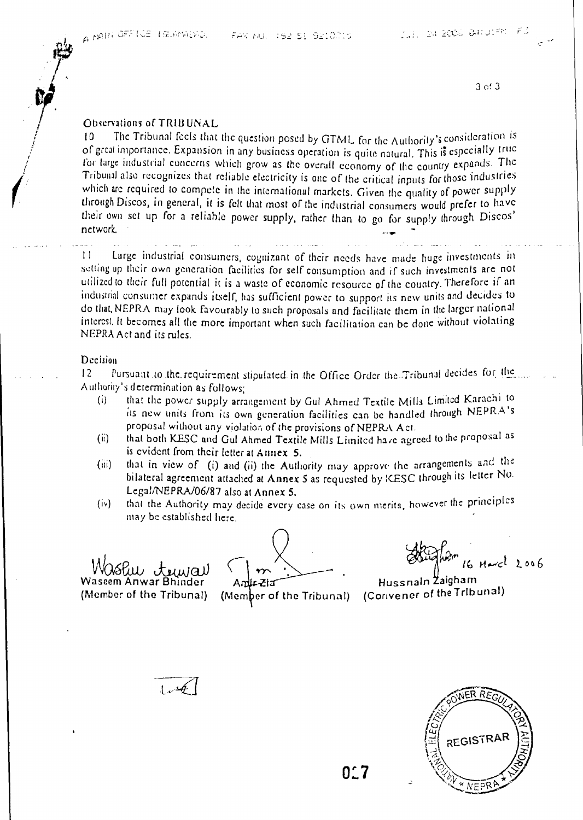3 of 3

## Obscriations of TRIBUNAL

10 The Tribunal feels that the question posed by GTML for the Authority's consideration is of great importance. Expansion in any business operation is quite natural. This is especially true for large industrial concerns which grow as the overall economy of the country expands. The for targe industrial concerns which grow as the overall economy of the country expands. The which are required to compete in the international markets. Given the quality of power supply through Discos, in general, it is felt that most of the industrial consumers would prefer to have their own sct up for a reliable power supply, rather than to go for supply through Discos network.

11 Large industrial consumers, cognizant of their needs have made huge investments in setting up their own generation facilities for self consumption and if such investments are not utilized to their full potential it is a waste of economic resource of the country. Therefore if an industrial consumer expands itself, has sufficient power to support its new units and decides to do that, NEPRA may look favourably to such proposals and facilitate them in the larger national interest. It becomes all the more important when such facilitation can be done without violating NEPRA Act and its rules.

#### Decision

12 Pursuant to the requirement stipulated in the Office Order the Tribunal decides for the Authority's determination as follows;

- (i) that the power supply arrangement by Gut Ahmed Textile Mills Limited Karachi to its new units from its own generation facilities can be handled through NEPRA's proposal without any violation of the provisions of NEPRA Act.
- (ii) that both KESC and Gut Ahmed Textile Mills Limited have agreed to the proposal as is evident from their letter at Annex 5.
- (iii) that in view of (i) and (ii) the Authority may approve the arrangements and the bilateral agreement attached at **Annex** 5 as requested by KESC through its letter No. Legal/NEPRA/06/87 also at Annex 5.
- (iv) that the Authority may decide every case on its own merits, however the principles may be established here.

16 August 2006

(Member of the Tribunal) (Member of the Tribunal) (Convener of the Tribunal) **Hussnain Zaigham** 





**0:•**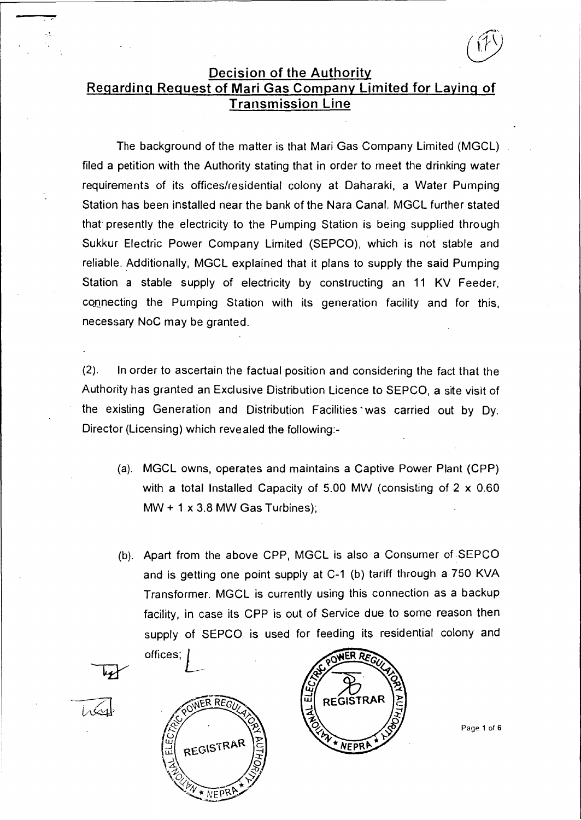# **Decision of the Authority Regarding Request of Mari Gas Company Limited for Laying of Transmission Line**

The background of the matter is that Mari Gas Company Limited (MGCL) filed a petition with the Authority stating that in order to meet the drinking water requirements of its offices/residential colony at Daharaki, a Water Pumping Station has been installed near the bank of the Nara Canal. MGCL further stated that presently the electricity to the Pumping Station is being supplied through Sukkur Electric Power Company Limited (SEPCO), which is not stable and reliable. Additionally, MGCL explained that it plans to supply the said Pumping Station a stable supply of electricity by constructing an 11 KV Feeder, connecting the Pumping Station with its generation facility and for this, necessary NoC may be granted.

(2). In order to ascertain the factual position and considering the fact that the Authority has granted an Exclusive Distribution Licence to SEPCO, a site visit of the existing Generation and Distribution Facilities ' was carried out by Dy. Director (Licensing) which revealed the following:-

- (a). MGCL owns, operates and maintains a Captive Power Plant (CPP) with a total Installed Capacity of 5.00 MW (consisting of 2 x 0.60  $MW + 1 \times 3.8$  MW Gas Turbines);
- (b). Apart from the above CPP, MGCL is also a Consumer of SEPCO and is getting one point supply at C-1 (b) tariff through a 750 KVA Transformer. MGCL is currently using this connection as a backup facility, in case its CPP is out of Service due to some reason then supply of SEPCO is used for feeding its residential colony and offices; *L*





Page 1 of 6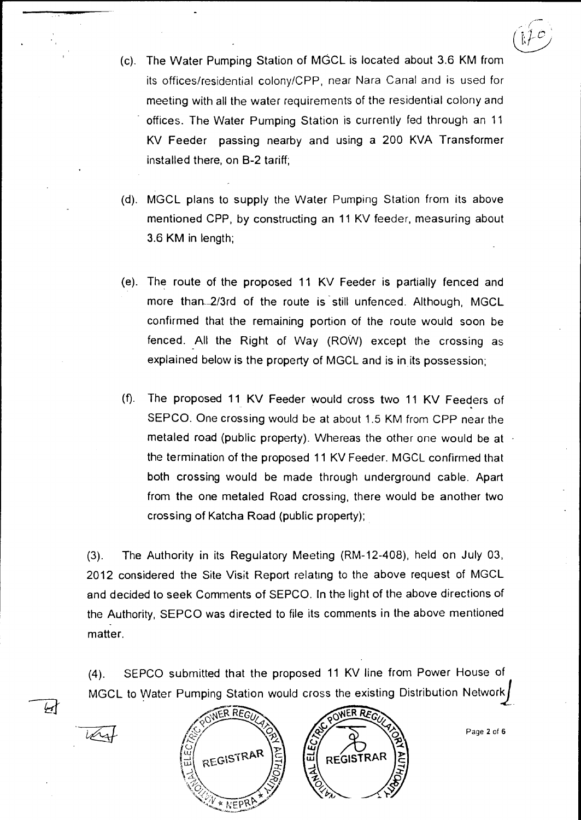- (c). The Water Pumping Station of MGCL is located about 3.6 KM from its offices/residential colony/CPP, near Nara Canal and is used for meeting with all the water requirements of the residential colony and offices. The Water Pumping Station is currently fed through an 11 KV Feeder passing nearby and using **a** 200 KVA Transformer installed there, on B-2 tariff;
- (d). MGCL plans to supply the Water Pumping Station from its above mentioned CPP, by constructing an 11 KV feeder, measuring about 3.6 KM in length;
- (e). The route of the proposed 11 KV Feeder **is** partially fenced and more than 2/3rd of the route is still unfenced. Although, MGCL confirmed that the remaining portion of the route would soon be fenced. All the Right of Way (ROW) except the crossing as explained below is the property of MGCL and is in its possession;
- (f). The proposed 11 KV Feeder would cross two 11 KV Feeders of SEPCO. One crossing would be at about 1.5 KM from CPP near the metaled road (public property). Whereas the other one would be at the termination of the proposed 11 KV Feeder. MGCL confirmed that both crossing would be made through underground cable. Apart from the one metaled Road crossing, there would be another two crossing of Katcha Road (public property);

(3). The Authority in its Regulatory Meeting (RM-12-408), held on July 03, 2012 considered the Site Visit Report relating to the above request of MGCL and decided to seek Comments of SEPCO. In the light of the above directions of the Authority, SEPCO was directed to file its comments in the above mentioned matter.

ed that the proposed 11 KV line from Power House of<br>ing Station would cross the existing Distribution Network<br>SWER REGUARED POWER REGUARED (4). SEPCO submitted that the proposed 11 KV line from Power House of MGCL to Water Pumping Station would cross the existing Distribution Network ${}_{\rm i}$ 

أسجأ



Page 2 of 6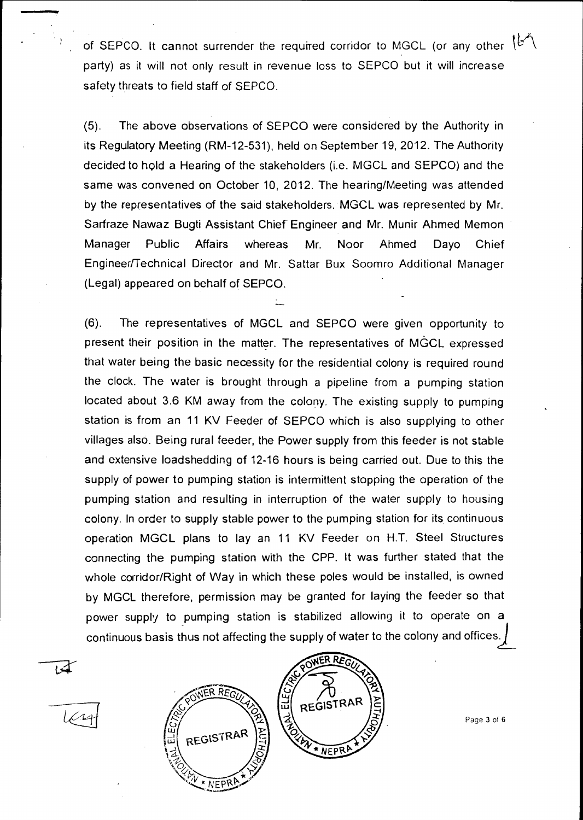of SEPCO. It cannot surrender the required corridor to MGCL (or any other  $|\mathcal{C}\setminus\mathcal{C}|$ party) as it will not only result in revenue loss to SEPCO but it will increase safety threats to field staff of SEPCO.

(5). The above observations of SEPCO were considered by the Authority in its Regulatory Meeting (RM-12-531), held on September 19, 2012. The Authority decided to hold a Hearing of the stakeholders (i.e. MGCL and SEPCO) and the same was convened on October 10, 2012. The hearing/Meeting was attended by the representatives of the said stakeholders. MGCL was represented by Mr. Sarfraze Nawaz Bugti Assistant Chief Engineer and Mr. Munir Ahmed Memon Manager Public Affairs whereas Mr. Noor Ahmed Dayo Chief Engineer/Technical Director and Mr. Sattar Bux Soomro Additional Manager (Legal) appeared on behalf of SEPCO.

(6). The representatives of MGCL and SEPCO were given opportunity to present their position in the matter. The representatives of MGCL expressed that water being the basic necessity for the residential colony is required round the clock. The water is brought through a pipeline from a pumping station located about 3.6 KM away from the colony. The existing supply to pumping station is from an 11 KV Feeder of SEPCO which is also supplying to other villages also. Being rural feeder, the Power supply from this feeder is not stable and extensive loadshedding of 12-16 hours is being carried out. Due to this the supply of power to pumping station is intermittent stopping the operation of the pumping station and resulting in interruption of the water supply to housing colony. In order to supply stable power to the pumping station for its continuous operation MGCL plans to lay an 11 KV Feeder on H.T. Steel Structures connecting the pumping station with the CPP. It was further stated that the whole corridor/Right of Way in which these poles would be installed, is owned by MGCL therefore, permission may be granted for laying the feeder so that power supply to pumping station is stabilized allowing it to operate on a continuous basis thus not affecting the supply of water to the colony and offices.)





Page 3 of 6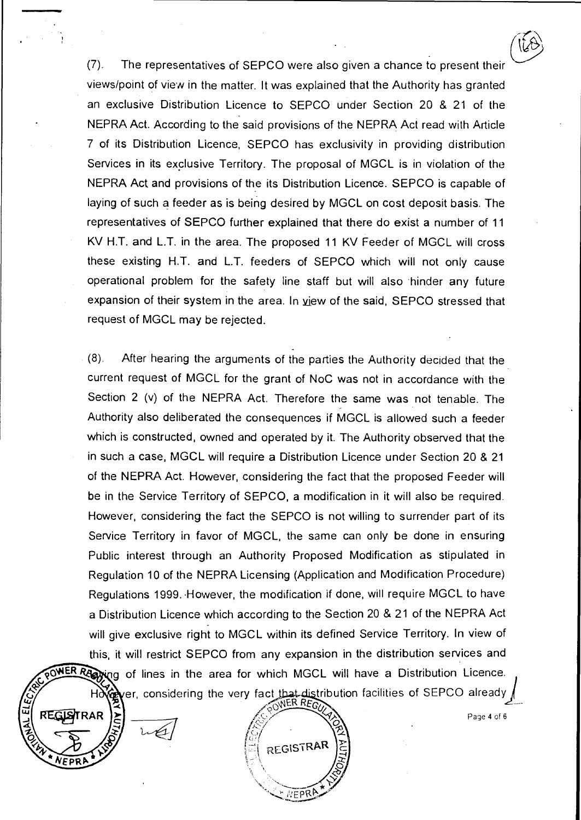(7). The representatives of SEPCO were also given a chance to present their views/point of view in the matter. It was explained that the Authority has granted an exclusive Distribution Licence to SEPCO under Section 20 & 21 of the NEPRA Act. According to the said provisions of the NEPRA Act read with Article 7 of its Distribution Licence, SEPCO has exclusivity in providing distribution Services in its exclusive Territory. The proposal of MGCL is in violation of the NEPRA Act and provisions of the its Distribution Licence. SEPCO is capable of laying of such a feeder as is being desired by MGCL on cost deposit basis. The representatives of SEPCO further explained that there do exist a number of 11 KV H.T. and L.T. in the area. The proposed 11 KV Feeder of MGCL will cross these existing H.T. and L.T. feeders of SEPCO which will not only cause operational problem for the safety line staff but will also hinder any future expansion of their system in the area. In view of the said, SEPCO stressed that request of MGCL may be rejected.

(8). After hearing the arguments of the parties the Authority decided that the current request of MGCL for the grant of NoC was not in accordance with the Section 2 (v) of the NEPRA Act. Therefore the same was not tenable. The Authority also deliberated the consequences if MGCL is allowed such a feeder which is constructed, owned and operated by it. The Authority observed that the in such a case, MGCL will require a Distribution Licence under Section 20 & 21 of the NEPRA Act. However, considering the fact that the proposed Feeder will be in the Service Territory of SEPCO, a modification in it will also be required. However, considering the fact the SEPCO is not willing to surrender part of its Service Territory in favor of MGCL, the same can only be done in ensuring Public interest through an Authority Proposed Modification as stipulated in Regulation 10 of the NEPRA Licensing (Application and Modification Procedure) Regulations 1999. However, the modification if done, will require MGCL to have a Distribution Licence which according to the Section 20 & 21 of the NEPRA Act will give exclusive right to MGCL within its defined Service Territory. In view of this, it will restrict SEPCO from any expansion in the distribution services and POWER RADVing of lines in the area for which MGCL will have a Distribution Licence. er, considering the very fact In if done, will require MGCL to have<br>
Exection 20 & 21 of the NEPRA Act<br>
defined Service Territory. In view of<br>
sion in the distribution services and<br>
L. will have a Distribution Licence.<br>
tribution facilities of SEPCO a

**AR** 



Page 4 of 6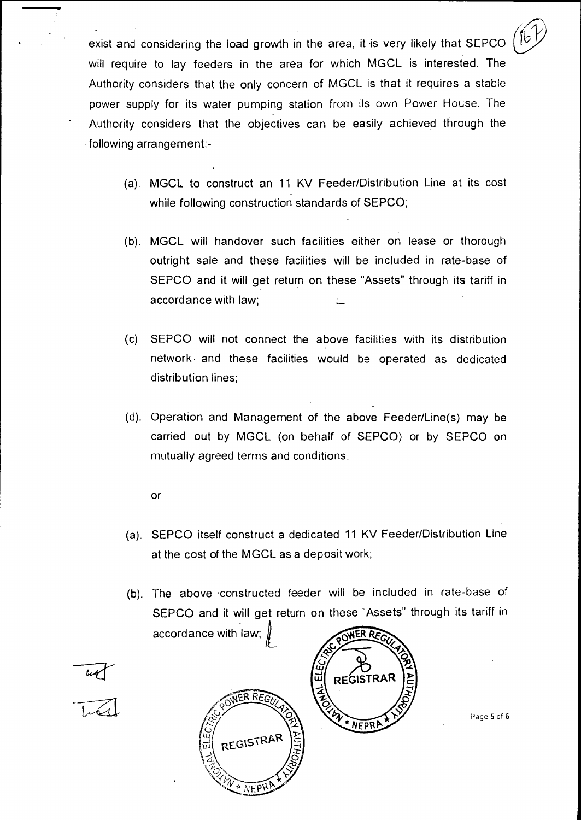exist and considering the load growth in the area, it is very likely that SEPCO will require to lay feeders in the area for which MGCL is interested. The Authority considers that the only concern of MGCL is that it requires a stable power supply for its water pumping station from its own Power House. The Authority considers that the objectives can be easily achieved through the following arrangement:-

- (a). MGCL to construct an 11 KV Feeder/Distribution Line at its cost while following construction standards of SEPCO;
- (b). MGCL will handover such facilities either on lease or thorough outright sale and these facilities will be included in rate-base of SEPCO and it will get return on these "Assets" through its tariff in accordance with law;
- (c). SEPCO will not connect the above facilities with its distribution network and these facilities would be operated as dedicated distribution lines;
- (d). Operation and Management of the above Feeder/Line(s) may be carried out by MGCL (on behalf of SEPCO) or by SEPCO on mutually agreed terms and conditions.
	- **Or**
- (a). SEPCO itself construct a dedicated 11 KV Feeder/Distribution Line at the cost of the MGCL as a deposit work;
- (b). The above •constructed feeder will be included in rate-base of SEPCO and it will get return on these 'Assets" through its tariff in accordance with law;







Page 5 of 6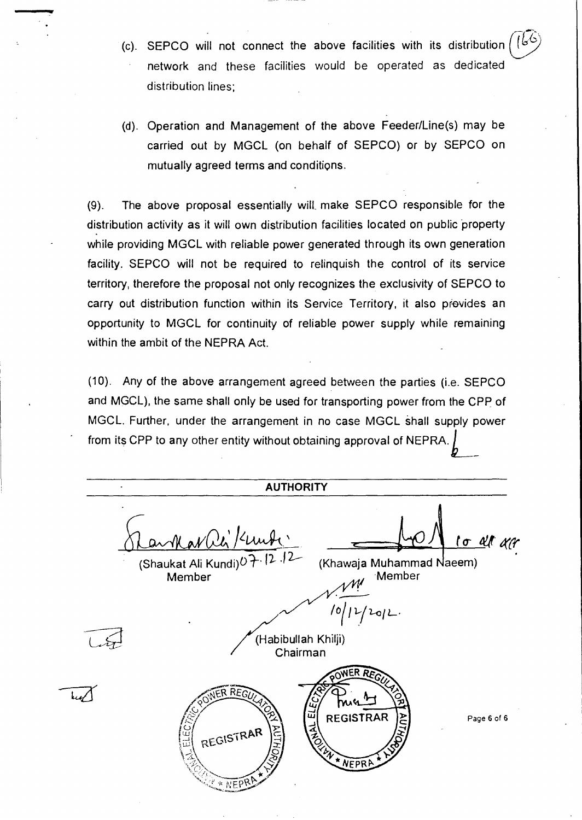- (c). SEPCO will not connect the above facilities with its distribution network and these facilities would be operated as dedicated distribution lines;
- (d). Operation and Management of the above Feeder/Line(s) may be carried out by MGCL (on behalf of SEPCO) or by SEPCO on mutually agreed terms and conditions.

(9). The above proposal essentially will make SEPCO responsible for the distribution activity as it will own distribution facilities located on public property while providing MGCL with reliable power generated through its own generation facility. SEPCO will not be required to relinquish the control of its service territory, therefore the proposal not only recognizes the exclusivity of SEPCO to carry out distribution function within its Service Territory, it also prevides an opportunity to MGCL for continuity of reliable power supply while remaining within the ambit of the NEPRA Act.

(10). Any of the above arrangement agreed between the parties (i.e. SEPCO and MGCL), the same shall only be used for transporting power from the CPP of MGCL. Further, under the arrangement in no case MGCL shall supply power<br>from its CPP to any other entity without obtaining approval of NEPRA.  $\int$ 

**AUTHORITY OA' PIA,wk,\_\_\_\_N Cr** an- (Shaukat Ali Kundi)O— 11 (Khawaja Muhammad seem) Member 10  $2qL$ (Habibullah Khilji) Chairman WER RE  $R_{R}$ ់ជ **REGISTRAR** Page 6 of 6 EN EST REGISTRAR \* NEPRA \* NEPP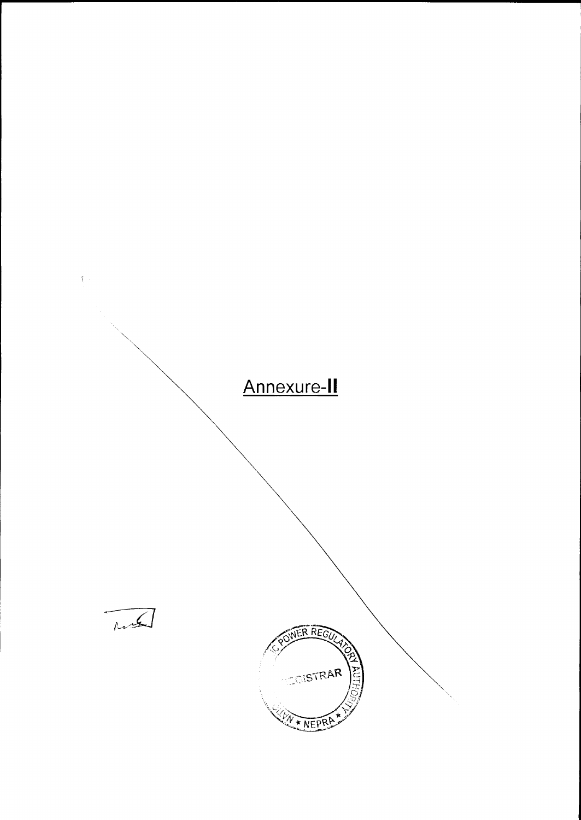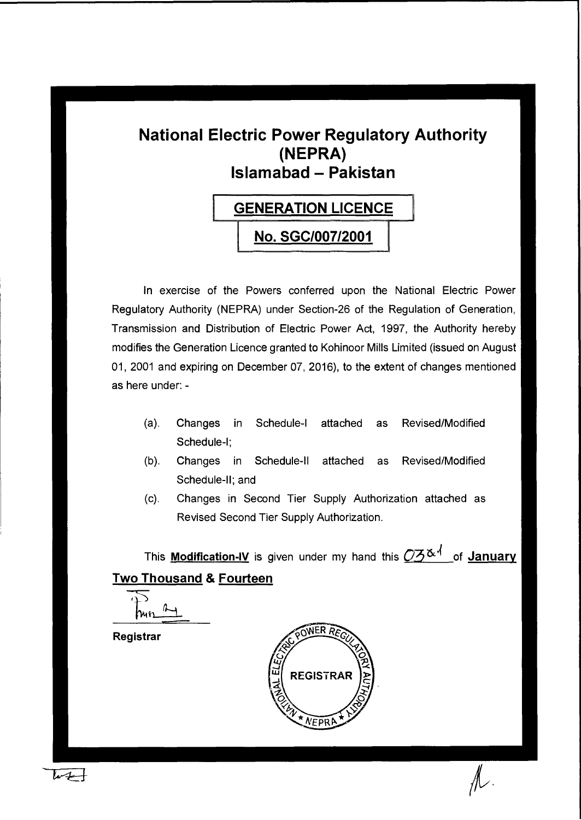# **National Electric Power Regulatory Authority (NEPRA) Islamabad - Pakistan**

# **GENERATION LICENCE**

I

**[ No. SGC/007/2001** 

In exercise of the Powers conferred upon the National Electric Power Regulatory Authority (NEPRA) under Section-26 of the Regulation of Generation, Transmission and Distribution of Electric Power Act, 1997, the Authority hereby modifies the Generation Licence granted to Kohinoor Mills Limited (issued on August 01, 2001 and expiring on December 07, 2016), to the extent of changes mentioned as here under: -

- (a). Changes in Schedule-I attached as Revised/Modified Schedule-I;
- (b). Changes in Schedule-II attached as Revised/Modified Schedule-II; and
- (c). Changes in Second Tier Supply Authorization attached as Revised Second Tier Supply Authorization.

This **Modification-IV** is given under my hand this  $\mathbb{O}5^{\alpha}$  of **January Two Thousand & Fourteen** 

 $\frac{1}{2}$  $i\rightarrow$ 

**Registrar** 

 $\mu +$ 

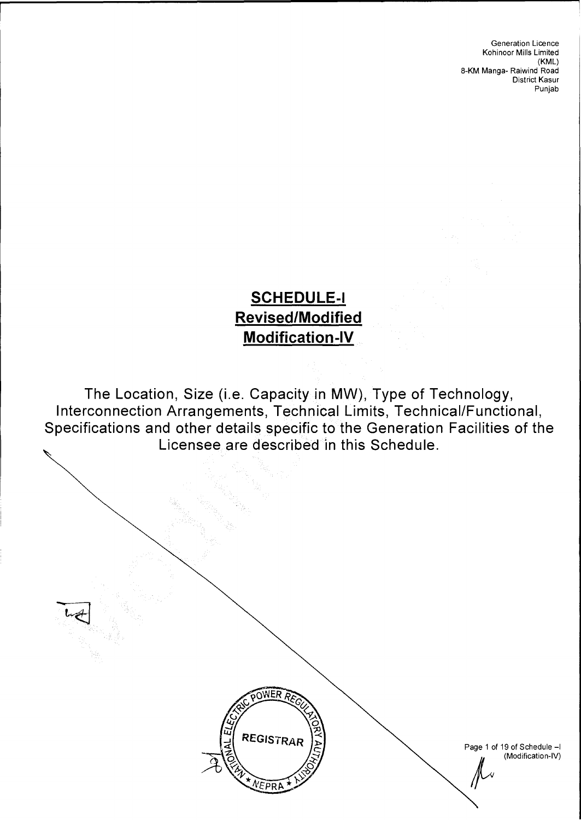# **SCHEDULE-I Revised/Modified Modification-IV**

The Location, Size (i.e. Capacity in MW), Type of Technology, Interconnection Arrangements, Technical Limits, Technical/Functional, Specifications and other details specific to the Generation Facilities of the Licensee are described in this Schedule.



Page 1 of 19 of Schedule —I (Modification-IV)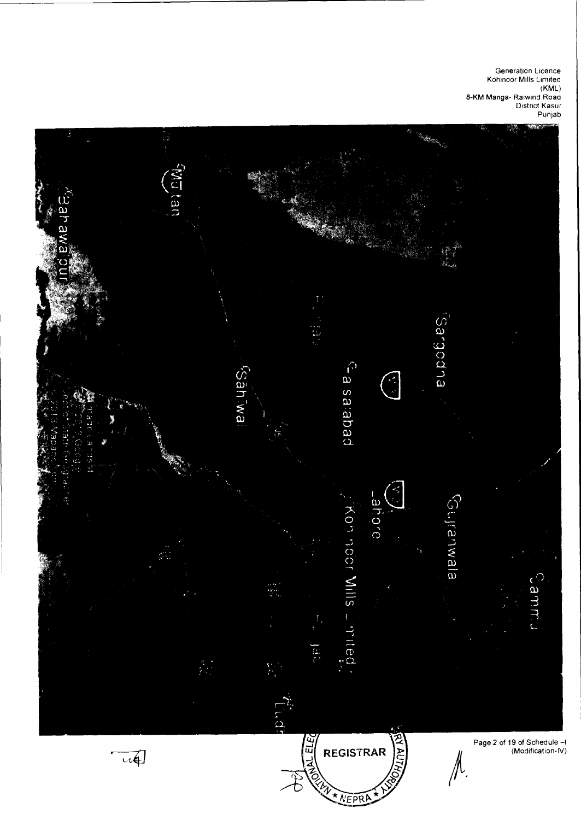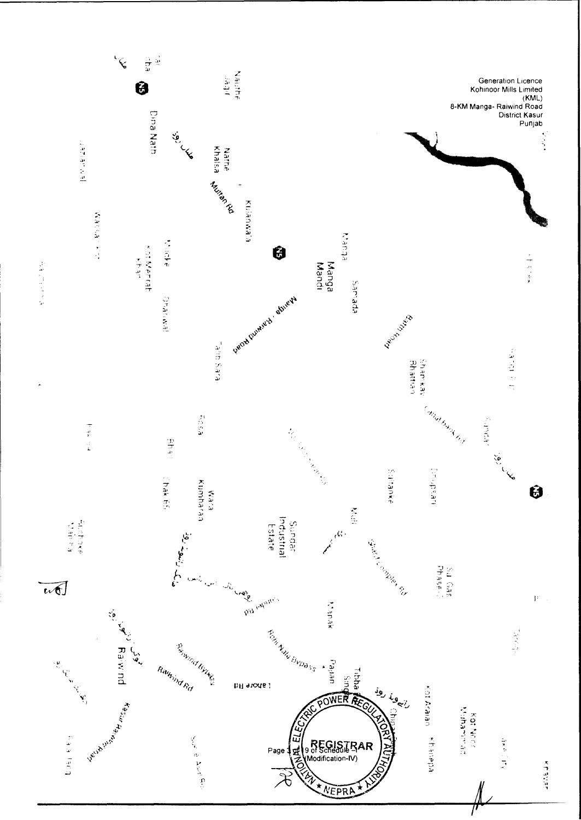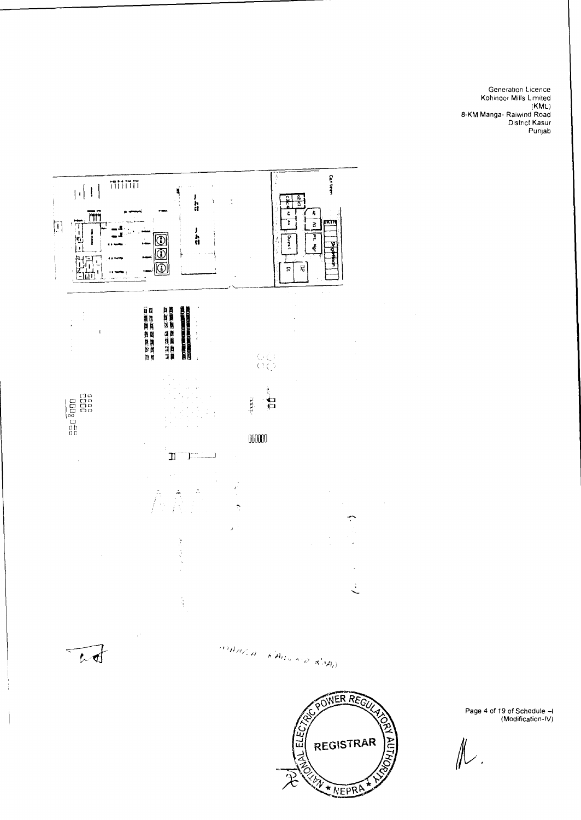



Page 4 of 19 of Schedule —I (Modification-IV)

 $\mathbb{N}.$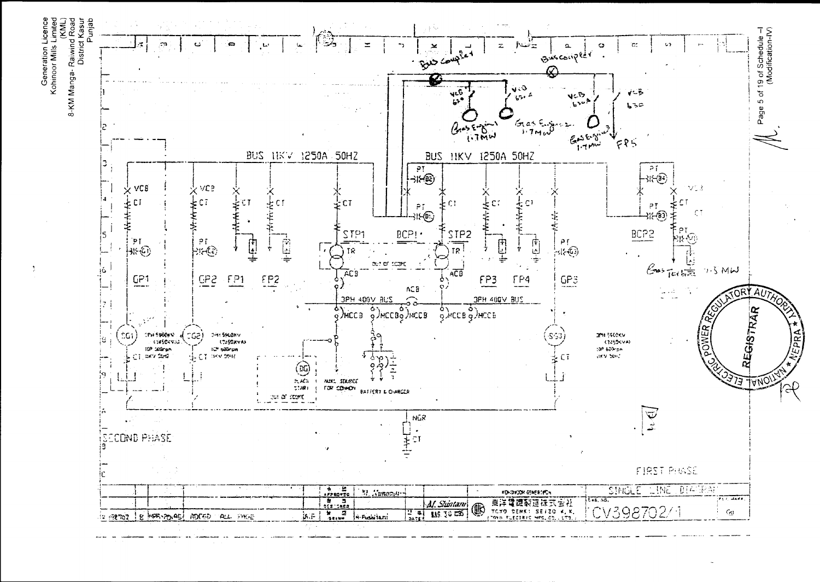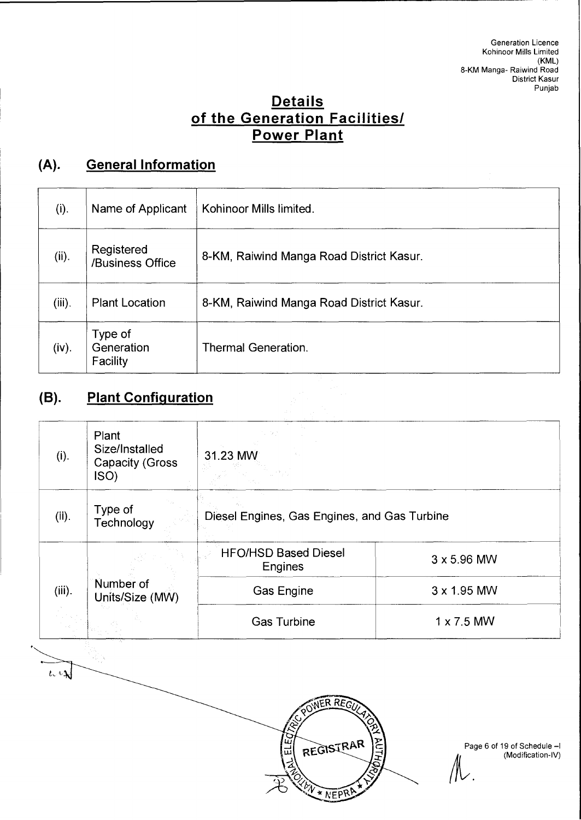# **Details of the Generation Facilities/ Power Plant**

# **(A). General Information**

| (i).      | Name of Applicant                 | Kohinoor Mills limited.                  |
|-----------|-----------------------------------|------------------------------------------|
| (ii).     | Registered<br>/Business Office    | 8-KM, Raiwind Manga Road District Kasur. |
| $(iii)$ . | <b>Plant Location</b>             | 8-KM, Raiwind Manga Road District Kasur. |
| (iv).     | Type of<br>Generation<br>Facility | <b>Thermal Generation.</b>               |

# **(B). Plant Configuration**

 $\overline{\mu}$ 

| (i).      | Plant<br>Size/Installed<br><b>Capacity (Gross)</b><br>ISO) | 31.23 MW                                      |                    |  |
|-----------|------------------------------------------------------------|-----------------------------------------------|--------------------|--|
| (ii).     | Type of<br>Technology                                      | Diesel Engines, Gas Engines, and Gas Turbine  |                    |  |
|           |                                                            | <b>HFO/HSD Based Diesel</b><br><b>Engines</b> | 3 x 5.96 MW        |  |
| $(iii)$ . | Number of<br>Units/Size (MW)                               | Gas Engine                                    | $3 \times 1.95$ MW |  |
|           |                                                            | <b>Gas Turbine</b>                            | $1 \times 7.5$ MW  |  |



Page 6 of 19 of Schedule —I (Modification-IV)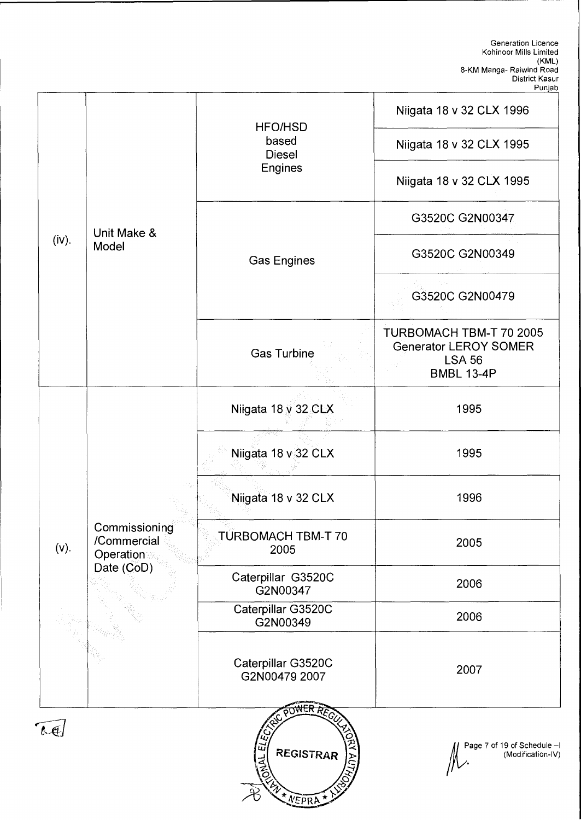|            |                                                   | <b>HFO/HSD</b>                                            | Niigata 18 v 32 CLX 1996                                                                      |
|------------|---------------------------------------------------|-----------------------------------------------------------|-----------------------------------------------------------------------------------------------|
|            |                                                   | based<br><b>Diesel</b>                                    | Niigata 18 v 32 CLX 1995                                                                      |
|            |                                                   | <b>Engines</b>                                            | Niigata 18 v 32 CLX 1995                                                                      |
|            | Unit Make &                                       |                                                           | G3520C G2N00347                                                                               |
| (iv).      | Model                                             | <b>Gas Engines</b>                                        | G3520C G2N00349                                                                               |
|            |                                                   |                                                           | G3520C G2N00479                                                                               |
|            |                                                   | <b>Gas Turbine</b>                                        | TURBOMACH TBM-T 70 2005<br><b>Generator LEROY SOMER</b><br><b>LSA 56</b><br><b>BMBL 13-4P</b> |
|            |                                                   | Niigata 18 v 32 CLX                                       | 1995                                                                                          |
|            |                                                   | Niigata 18 v 32 CLX                                       | 1995                                                                                          |
|            |                                                   | Niigata 18 v 32 CLX                                       | 1996                                                                                          |
|            | Commissioning<br>/Commercial<br>(v).<br>Operation | TURBOMACH TBM-T 70<br>2005                                | 2005                                                                                          |
|            | Date (CoD)                                        | Caterpillar G3520C<br>G2N00347                            | 2006                                                                                          |
|            |                                                   | Caterpillar G3520C<br>G2N00349                            | 2006                                                                                          |
|            |                                                   | Caterpillar G3520C<br>G2N00479 2007                       | 2007                                                                                          |
| $l \oplus$ |                                                   | $\vec{u}$<br><b>REGISTRAR</b><br>$\frac{1}{2}$<br>* NEPRA | Page 7 of 19 of Schedule-I<br>(Modification-IV)                                               |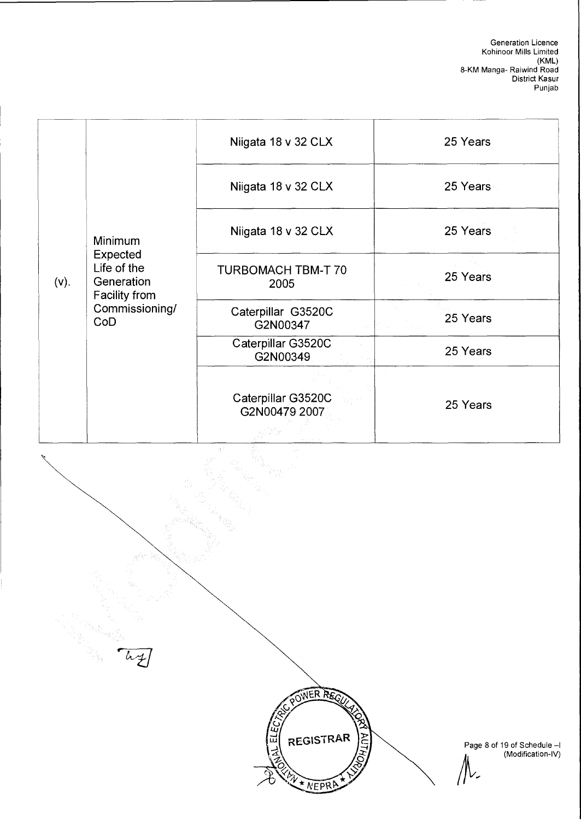| $(v)$ . | Minimum<br>Expected<br>Life of the<br>Generation<br><b>Facility from</b><br>Commissioning/<br>CoD | Niigata 18 v 32 CLX                 | 25 Years |
|---------|---------------------------------------------------------------------------------------------------|-------------------------------------|----------|
|         |                                                                                                   | Niigata 18 v 32 CLX                 | 25 Years |
|         |                                                                                                   | Niigata 18 v 32 CLX                 | 25 Years |
|         |                                                                                                   | <b>TURBOMACH TBM-T 70</b><br>2005   | 25 Years |
|         |                                                                                                   | Caterpillar G3520C<br>G2N00347      | 25 Years |
|         |                                                                                                   | Caterpillar G3520C<br>G2N00349      | 25 Years |
|         |                                                                                                   | Caterpillar G3520C<br>G2N00479 2007 | 25 Years |



NEPR

Page 8 of 19 of Schedule —I (Modification-IV)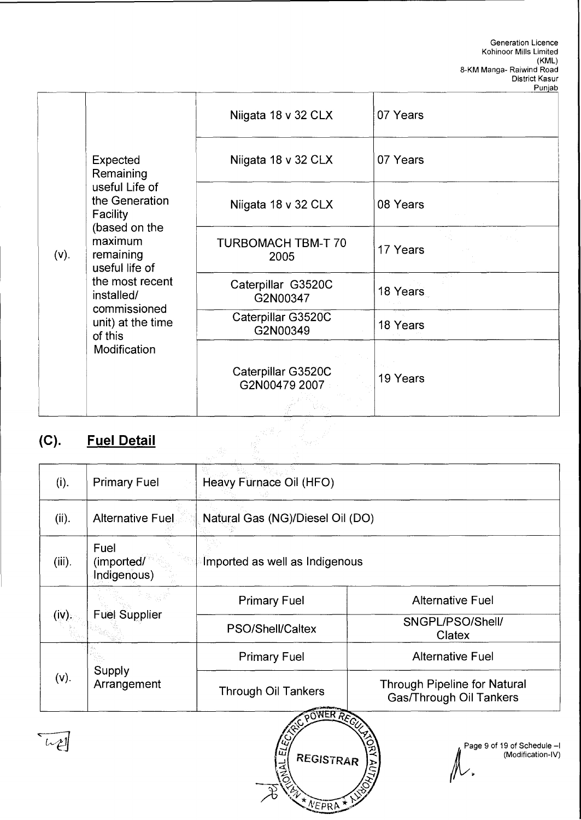|         |                                                                                                                                                                                                                                   |                                     | Punjab   |
|---------|-----------------------------------------------------------------------------------------------------------------------------------------------------------------------------------------------------------------------------------|-------------------------------------|----------|
|         |                                                                                                                                                                                                                                   | Niigata 18 v 32 CLX                 | 07 Years |
|         | Expected<br>Remaining<br>useful Life of<br>the Generation<br>Facility<br>(based on the<br>maximum<br>remaining<br>useful life of<br>the most recent<br>installed/<br>commissioned<br>unit) at the time<br>of this<br>Modification | Niigata 18 v 32 CLX                 | 07 Years |
|         |                                                                                                                                                                                                                                   | Niigata 18 v 32 CLX                 | 08 Years |
| $(v)$ . |                                                                                                                                                                                                                                   | <b>TURBOMACH TBM-T 70</b><br>2005   | 17 Years |
|         |                                                                                                                                                                                                                                   | Caterpillar G3520C<br>G2N00347      | 18 Years |
|         |                                                                                                                                                                                                                                   | Caterpillar G3520C<br>G2N00349      | 18 Years |
|         |                                                                                                                                                                                                                                   | Caterpillar G3520C<br>G2N00479 2007 | 19 Years |

# **(C). Fuel Detail**

| <b>Fuel Detail</b>                |                                  |                                                                |  |
|-----------------------------------|----------------------------------|----------------------------------------------------------------|--|
| <b>Primary Fuel</b>               | Heavy Furnace Oil (HFO)          |                                                                |  |
| <b>Alternative Fuel</b>           | Natural Gas (NG)/Diesel Oil (DO) |                                                                |  |
| Fuel<br>(imported/<br>Indigenous) | Imported as well as Indigenous   |                                                                |  |
| <b>Fuel Supplier</b>              | <b>Primary Fuel</b>              | <b>Alternative Fuel</b>                                        |  |
|                                   | PSO/Shell/Caltex                 | SNGPL/PSO/Shell/<br>Clatex                                     |  |
| Supply<br>Arrangement             | <b>Primary Fuel</b>              | <b>Alternative Fuel</b>                                        |  |
|                                   | <b>Through Oil Tankers</b>       | <b>Through Pipeline for Natural</b><br>Gas/Through Oil Tankers |  |
|                                   |                                  |                                                                |  |

**AALEL** REGISTRAR \* NEPRA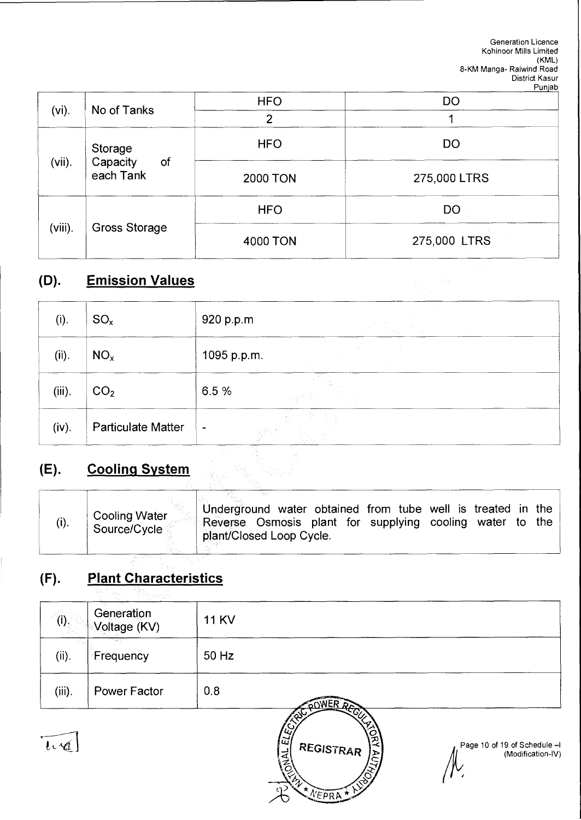| $(vi)$ .  | No of Tanks                            | <b>HFO</b>      | <b>DO</b>                 |  |
|-----------|----------------------------------------|-----------------|---------------------------|--|
|           |                                        | າ               |                           |  |
| $(vii)$ . | Storage<br>Capacity<br>of<br>each Tank | <b>HFO</b>      | DO                        |  |
|           |                                        | <b>2000 TON</b> | 275,000 LTRS              |  |
| (viii).   | Gross Storage                          | <b>HFO</b>      | <b>DO</b>                 |  |
|           |                                        | 4000 TON        | provide a<br>275,000 LTRS |  |

# **(D). Emission Values**

| (D).      | <b>Emission Values</b>    |                 |
|-----------|---------------------------|-----------------|
| (i).      | $SO_{x}$                  | 920 p.p.m       |
| (ii).     | NO <sub>x</sub>           | 1095 p.p.m.     |
| $(iii)$ . | CO <sub>2</sub>           | 6.5%            |
| (iv).     | <b>Particulate Matter</b> | $\blacksquare$  |
| (E).      | <b>Cooling System</b>     | 71 p.e.<br>Yasa |

# **(E). Cooling System**

| (i). | <b>Cooling Water</b><br>Source/Cycle | Underground water obtained from tube well is treated in the<br>Reverse Osmosis plant for supplying cooling water<br>plant/Closed Loop Cycle. | the<br>to. |
|------|--------------------------------------|----------------------------------------------------------------------------------------------------------------------------------------------|------------|
|      |                                      |                                                                                                                                              |            |

# **(F). Plant Characteristics**

| (i).       | Generation<br>Voltage (KV) | <b>11 KV</b> |                                   |                                                  |
|------------|----------------------------|--------------|-----------------------------------|--------------------------------------------------|
| (ii).      | Frequency                  | 50 Hz        |                                   |                                                  |
| $(iii)$ .  | <b>Power Factor</b>        | 0.8          | <b>COWER RECT</b>                 |                                                  |
| $l\cdot 4$ |                            |              | 冚<br>REGISTRAR<br>*** NEPRA * NST | Page 10 of 19 of Schedule -<br>(Modification-IV) |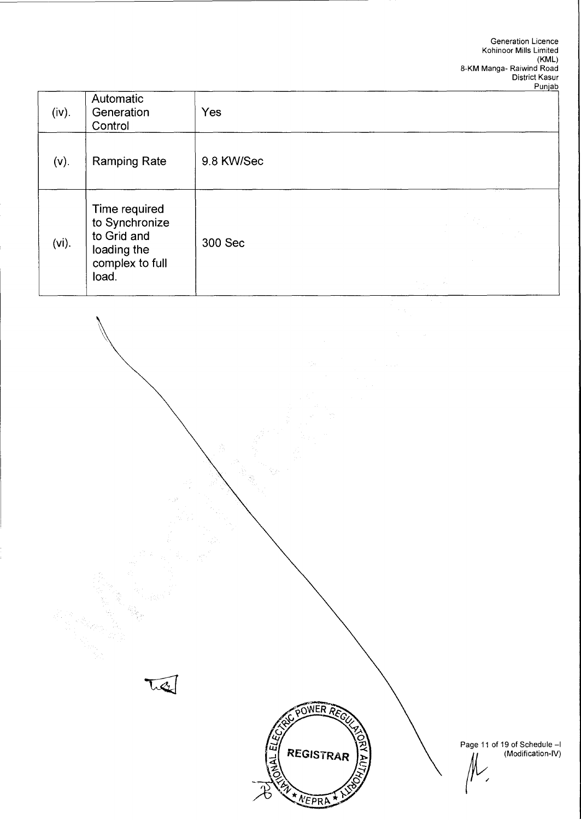| (iv).    | Automatic<br>Generation<br>Control                                                        | Yes        |                                       |
|----------|-------------------------------------------------------------------------------------------|------------|---------------------------------------|
| $(v)$ .  | <b>Ramping Rate</b>                                                                       | 9.8 KW/Sec |                                       |
| $(vi)$ . | Time required<br>to Synchronize<br>to Grid and<br>loading the<br>complex to full<br>load. | 300 Sec    | $\mathcal{G}_{\mathcal{A}}$<br>The Co |

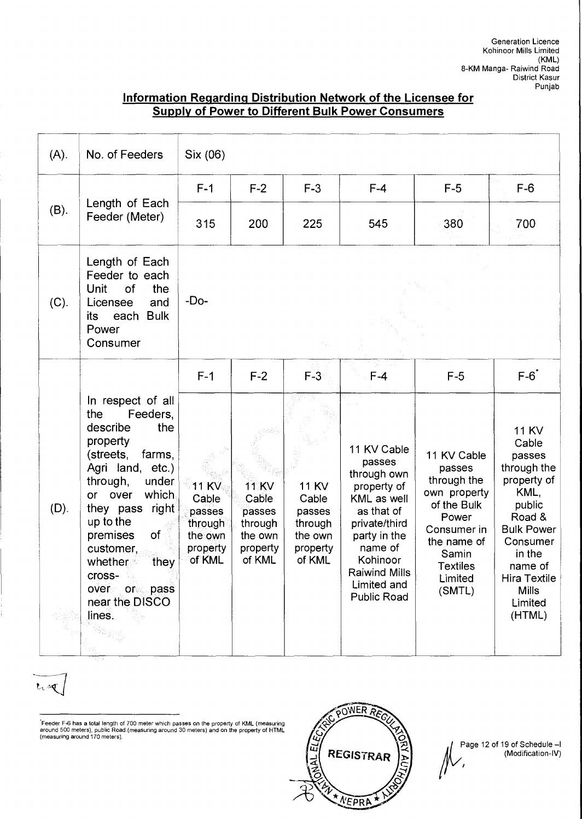## **Information Regarding Distribution Network of the Licensee for Supply of Power to Different Bulk Power Consumers**

| $(A)$ . | No. of Feeders                                                                                                                                                                                                                                                                                                 | Six (06)                                                               |                                                                             |                                                                             |                                                                                                                                                                                                |                                                                                                                                                             |                                                                                                                                                                                                      |
|---------|----------------------------------------------------------------------------------------------------------------------------------------------------------------------------------------------------------------------------------------------------------------------------------------------------------------|------------------------------------------------------------------------|-----------------------------------------------------------------------------|-----------------------------------------------------------------------------|------------------------------------------------------------------------------------------------------------------------------------------------------------------------------------------------|-------------------------------------------------------------------------------------------------------------------------------------------------------------|------------------------------------------------------------------------------------------------------------------------------------------------------------------------------------------------------|
|         |                                                                                                                                                                                                                                                                                                                | $F-1$                                                                  | $F-2$                                                                       | $F-3$                                                                       | $F-4$                                                                                                                                                                                          | $F-5$                                                                                                                                                       | $F-6$                                                                                                                                                                                                |
| (B).    | Length of Each<br>Feeder (Meter)                                                                                                                                                                                                                                                                               | 315                                                                    | 200                                                                         | 225                                                                         | 545                                                                                                                                                                                            | 380                                                                                                                                                         | 700                                                                                                                                                                                                  |
| (C).    | Length of Each<br>Feeder to each<br>Unit<br>of<br>the<br>and<br>Licensee<br>each Bulk<br>its<br>Power<br>Consumer                                                                                                                                                                                              | $-Do-$                                                                 |                                                                             |                                                                             |                                                                                                                                                                                                |                                                                                                                                                             |                                                                                                                                                                                                      |
|         |                                                                                                                                                                                                                                                                                                                | $F-1$                                                                  | $F-2$                                                                       | $F-3$                                                                       | $F-4$                                                                                                                                                                                          | $F-5$                                                                                                                                                       | $F-6$ <sup>*</sup>                                                                                                                                                                                   |
| $(D)$ . | In respect of all<br>the<br>Feeders,<br>the<br>describe<br>property<br>(streets,<br>farms,<br>Agri land, etc.)<br>under<br>through,<br>which<br>over<br>or<br>right<br>they pass<br>up to the<br>of<br>premises<br>customer,<br>whether<br>they<br>cross-<br>over or pass<br>near the DISCO<br>lines.<br>u) in | $11$ KV<br>Cable<br>passes<br>through<br>the own<br>property<br>of KML | <b>11 KV</b><br>Cable<br>passes<br>through<br>the own<br>property<br>of KML | <b>11 KV</b><br>Cable<br>passes<br>through<br>the own<br>property<br>of KML | 11 KV Cable<br>passes<br>through own<br>property of<br>KML as well<br>as that of<br>private/third<br>party in the<br>name of<br>Kohinoor<br><b>Raiwind Mills</b><br>Limited and<br>Public Road | 11 KV Cable<br>passes<br>through the<br>own property<br>of the Bulk<br>Power<br>Consumer in<br>the name of<br>Samin<br><b>Textiles</b><br>Limited<br>(SMTL) | <b>11 KV</b><br>Cable<br>passes<br>through the<br>property of<br>KML,<br>public<br>Road &<br><b>Bulk Power</b><br>Consumer<br>in the<br>name of<br>Hira Textile<br><b>Mills</b><br>Limited<br>(HTML) |

Feeder F-6 has a total length of 700 meter which passes on the property of KML (measuring around 500 meters), public Road (measuring around 30 meters) and on the property of HTML (measuring around 170 meters).



Page 12 of 19 of Schedule —I (Modification-IV)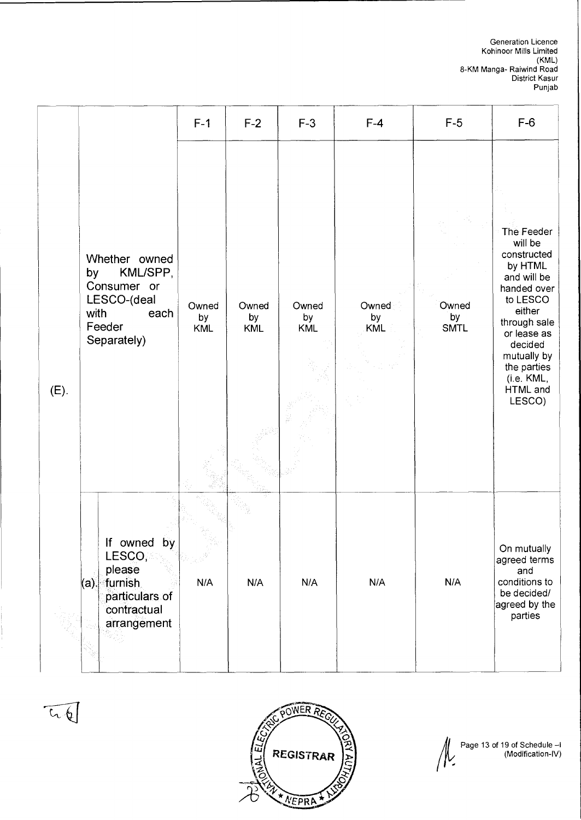|      |                                                                                                        | $F-1$              | $F-2$                     | $F-3$                     | $F-4$                     | $F-5$                      | $F-6$                                                                                                                                                                                                           |
|------|--------------------------------------------------------------------------------------------------------|--------------------|---------------------------|---------------------------|---------------------------|----------------------------|-----------------------------------------------------------------------------------------------------------------------------------------------------------------------------------------------------------------|
| (E). | Whether owned<br>KML/SPP,<br>by<br>Consumer or<br>LESCO-(deal<br>with<br>each<br>Feeder<br>Separately) | Owned<br>by<br>KML | Owned<br>by<br><b>KML</b> | Owned<br>by<br><b>KML</b> | Owned<br>by<br><b>KML</b> | Owned<br>by<br><b>SMTL</b> | The Feeder<br>will be<br>constructed<br>by HTML<br>and will be<br>handed over<br>to LESCO<br>either<br>through sale<br>or lease as<br>decided<br>mutually by<br>the parties<br>(i.e. KML,<br>HTML and<br>LESCO) |
|      | If owned by<br>LESCO,<br>please<br>(a). furnish<br>particulars of<br>contractual<br>arrangement        | N/A                | N/A                       | N/A                       | N/A                       | N/A                        | On mutually<br>agreed terms<br>and<br>conditions to<br>be decided/<br>agreed by the<br>parties                                                                                                                  |



 $\overline{u}$ 

 $\mu$ Page 13 of 19 of Schedule —I (Modification-IV)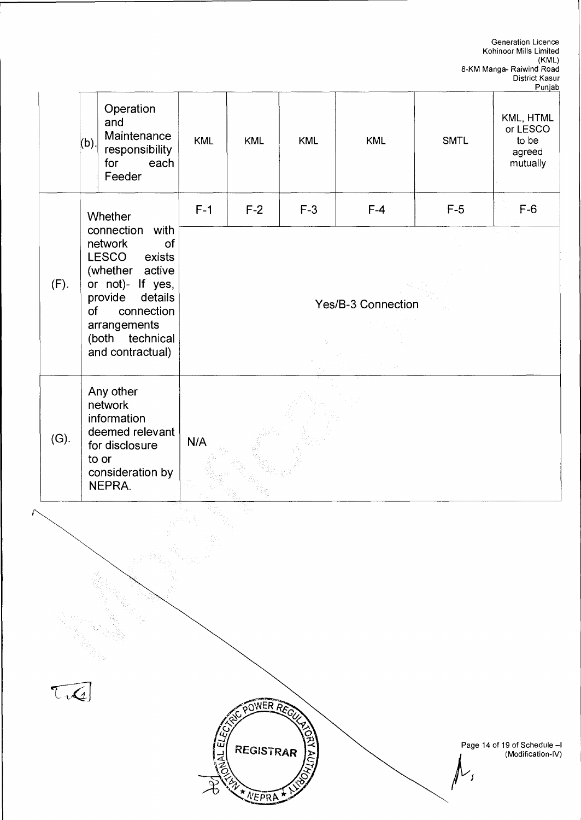Page 14 of 19 of Schedule —I (Modification-IV) WER<sup>1</sup> **/\*/** Web **-J REGISTRAR**  Generation Licence Kohinoor Mills Limited (KML) 8-KM Manga- Raiwind Road District Kasur Punjab (b). **Operation** and **Maintenance** responsibility for each Feeder KML | KML | KML | SMTL KML, HTML or LESCO to be agreed mutually (F). **Whether** connection with network of LESCO exists (whether active or not)- If yes, provide details of connection arrangements (both technical and contractual) F-1 F-2 F-3 F-4 F-5 F-6 Yes/B-3 Connection (G). Any other network information deemed relevant for disclosure to or consideration by NEPRA. N/A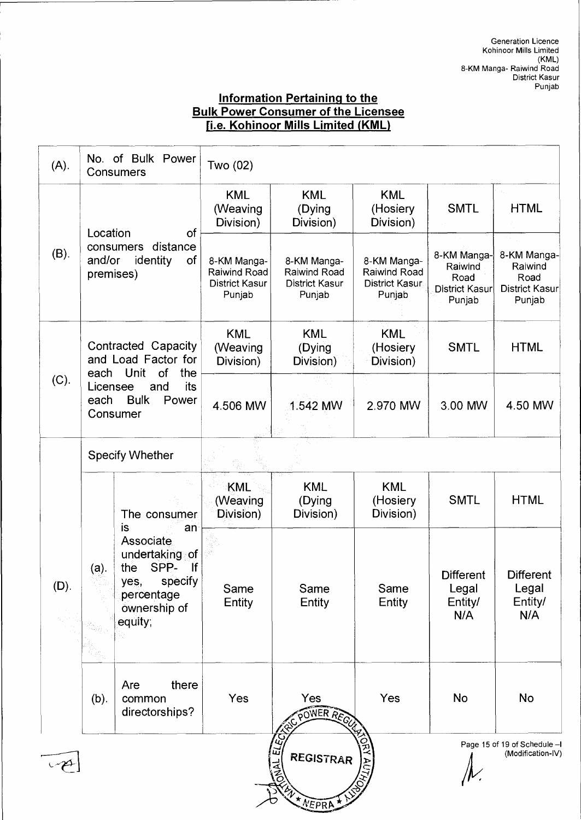# **Information Pertaining to the Bulk Power Consumer of the Licensee fi.e. Kohinoor Mills Limited (KML)**

| (A).    | Consumers                                                                                                                                                                     | No. of Bulk Power                        | Two (02)                                                       |                                                                |                                                                |                                                                   |                                                                   |
|---------|-------------------------------------------------------------------------------------------------------------------------------------------------------------------------------|------------------------------------------|----------------------------------------------------------------|----------------------------------------------------------------|----------------------------------------------------------------|-------------------------------------------------------------------|-------------------------------------------------------------------|
| (B).    | Location<br>of<br>distance<br>consumers<br>and/or<br>identity<br>of<br>premises)                                                                                              |                                          | <b>KML</b><br>(Weaving<br>Division)                            | <b>KML</b><br>(Dying<br>Division)                              | <b>KML</b><br>(Hosiery<br>Division)                            | <b>SMTL</b>                                                       | <b>HTML</b>                                                       |
|         |                                                                                                                                                                               |                                          | 8-KM Manga-<br>Raiwind Road<br><b>District Kasur</b><br>Punjab | 8-KM Manga-<br>Raiwind Road<br><b>District Kasur</b><br>Punjab | 8-KM Manga-<br>Raiwind Road<br><b>District Kasur</b><br>Punjab | 8-KM Manga-<br>Raiwind<br>Road<br><b>District Kasur</b><br>Punjab | 8-KM Manga-<br>Raiwind<br>Road<br><b>District Kasur</b><br>Punjab |
| (C).    | Contracted Capacity<br>and Load Factor for<br>each Unit<br><b>of</b><br>the<br>its<br>Licensee<br>and<br>each<br><b>Bulk</b><br>Power<br>Consumer                             |                                          | <b>KML</b><br>(Weaving<br>Division)                            | <b>KML</b><br>(Dying)<br>Division)                             | <b>KML</b><br>(Hosiery<br>Division)                            | <b>SMTL</b>                                                       | <b>HTML</b>                                                       |
|         |                                                                                                                                                                               |                                          | 4.506 MW                                                       | 1.542 MW                                                       | 2.970 MW                                                       | 3.00 MW                                                           | 4.50 MW                                                           |
|         |                                                                                                                                                                               | <b>Specify Whether</b>                   |                                                                |                                                                |                                                                |                                                                   |                                                                   |
| $(D)$ . |                                                                                                                                                                               | The consumer                             | KML<br>(Weaving<br>Division)                                   | <b>KML</b><br>(Dying<br>Division)                              | <b>KML</b><br>(Hosiery<br>Division)                            | <b>SMTL</b>                                                       | <b>HTML</b>                                                       |
|         | is<br>an<br>Associate<br>undertaking of<br>SPP-<br>lf<br>the<br>(a).<br>specify<br>yes,<br>percentage<br>ownership of<br>equity;<br>$\mathcal{P}_{\mathcal{S}_{\mathcal{Q}}}$ | Same<br>Entity                           | Same<br>Entity                                                 | Same<br>Entity                                                 | <b>Different</b><br>Legal<br>Entity/<br>N/A                    | <b>Different</b><br>Legal<br>Entity/<br>N/A                       |                                                                   |
|         | (b).                                                                                                                                                                          | Are<br>there<br>common<br>directorships? | Yes                                                            | Yes<br>POWER REGU                                              | Yes                                                            | No                                                                | No                                                                |
|         |                                                                                                                                                                               |                                          |                                                                | ELECT<br><b>REGISTRAR</b><br>NEPRA                             |                                                                |                                                                   | Page 15 of 19 of Schedule -I<br>(Modification-IV)                 |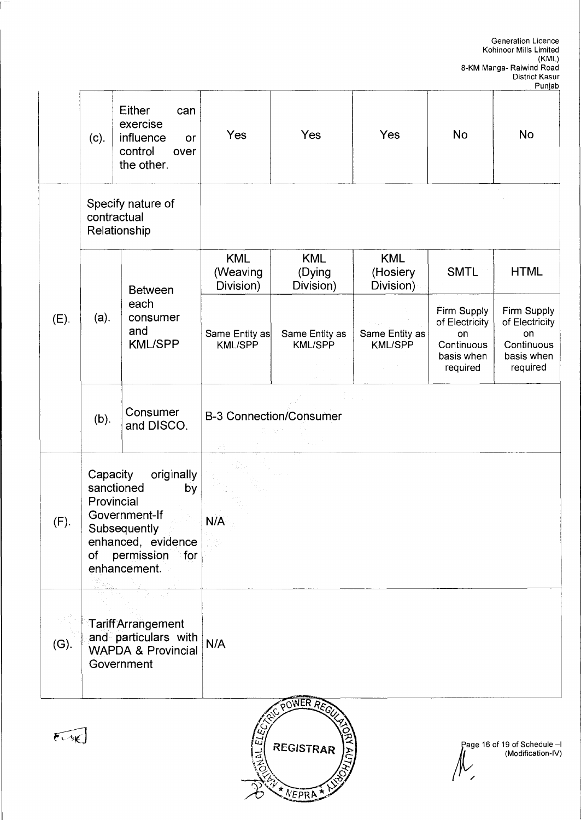T

|      | $(c)$ .                                          | Either<br>can<br>exercise<br>influence<br>or<br>control<br>over<br>the other.                                              | Yes                                 | Yes                               | Yes                                 | <b>No</b>                                                                   | <b>No</b>                                                                   |
|------|--------------------------------------------------|----------------------------------------------------------------------------------------------------------------------------|-------------------------------------|-----------------------------------|-------------------------------------|-----------------------------------------------------------------------------|-----------------------------------------------------------------------------|
|      | Specify nature of<br>contractual<br>Relationship |                                                                                                                            |                                     |                                   |                                     |                                                                             |                                                                             |
| (E). | (a).                                             | <b>Between</b><br>each<br>consumer<br>and<br><b>KML/SPP</b>                                                                | <b>KML</b><br>(Weaving<br>Division) | <b>KML</b><br>(Dying<br>Division) | <b>KML</b><br>(Hosiery<br>Division) | <b>SMTL</b>                                                                 | <b>HTML</b>                                                                 |
|      |                                                  |                                                                                                                            | Same Entity as<br><b>KML/SPP</b>    | Same Entity as<br><b>KML/SPP</b>  | Same Entity as<br><b>KML/SPP</b>    | Firm Supply<br>of Electricity<br>on<br>Continuous<br>basis when<br>required | Firm Supply<br>of Electricity<br>on<br>Continuous<br>basis when<br>required |
|      | (b).                                             | Consumer<br>and DISCO.                                                                                                     | <b>B-3 Connection/Consumer</b>      |                                   |                                     |                                                                             |                                                                             |
| (F). | Capacity<br>Provincial<br>of                     | originally<br>sanctioned<br>by<br>Government-If<br>Subsequently<br>enhanced, evidence<br>permission<br>for<br>enhancement. | N/A                                 |                                   |                                     |                                                                             |                                                                             |
| (G). |                                                  | <b>Tariff Arrangement</b><br>and particulars with<br><b>WAPDA &amp; Provincial</b><br>Government                           | N/A                                 |                                   |                                     |                                                                             |                                                                             |
|      |                                                  |                                                                                                                            |                                     | POWER REC                         |                                     |                                                                             |                                                                             |



 $\lceil$ 



age 16 of 19 of Schedule —I (Modification-IV)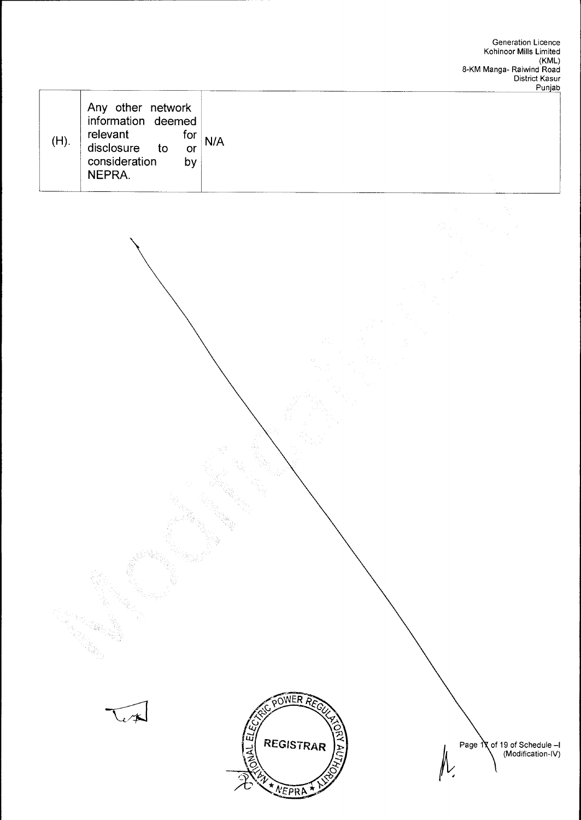



of 19 of Schedule —I (Modification-IV) Page 1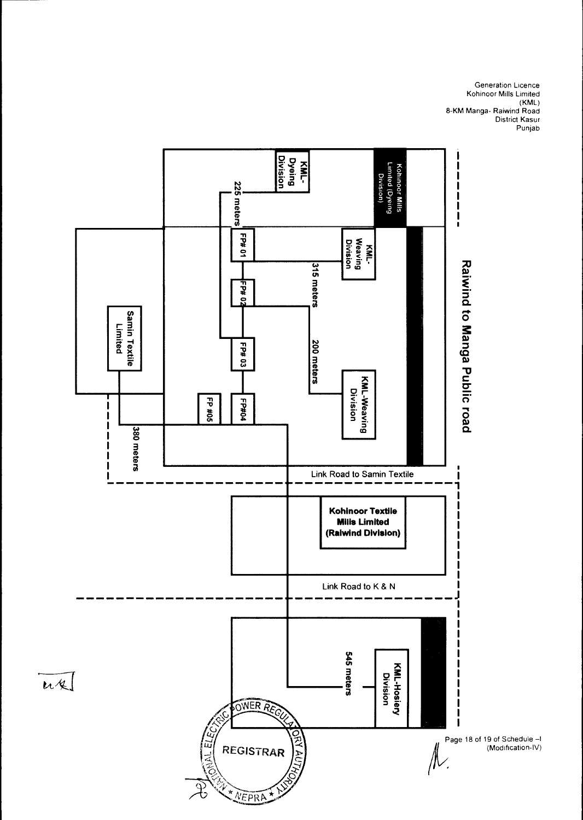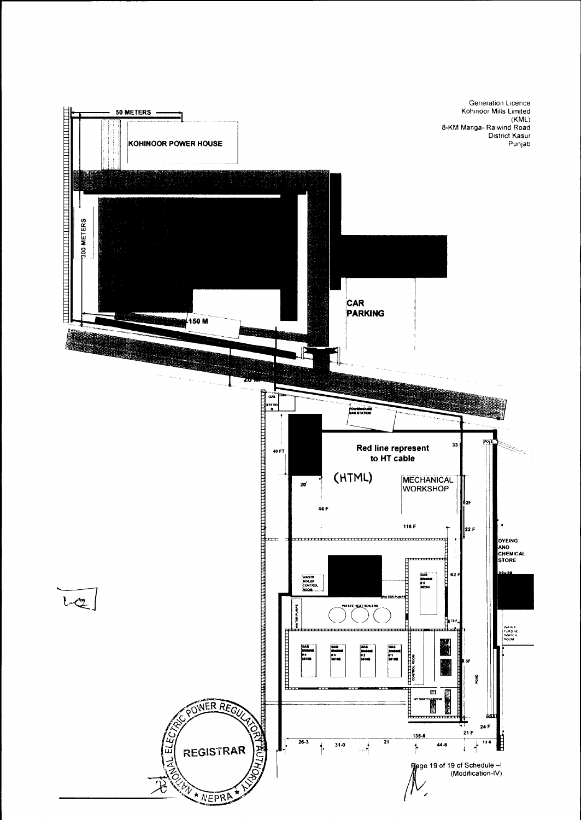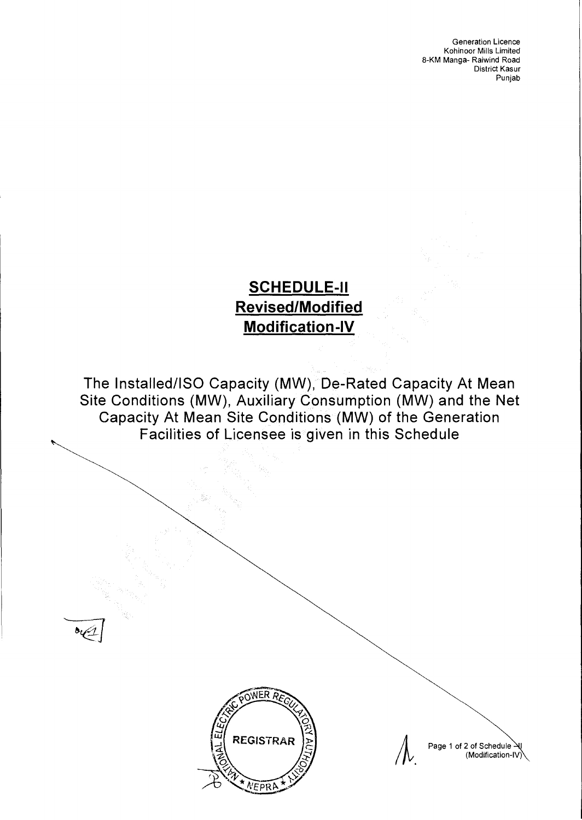# **SCHEDULE-II Revised/Modified Modification-IV**

**The Installed/ISO Capacity (MW), De-Rated Capacity At Mean Site Conditions (MW), Auxiliary Consumption (MW) and the Net Capacity At Mean Site Conditions (MW) of the Generation Facilities of Licensee is given in this Schedule** 



Page 1 of 2 of Schedule (Modification-IV)

 $/N$ .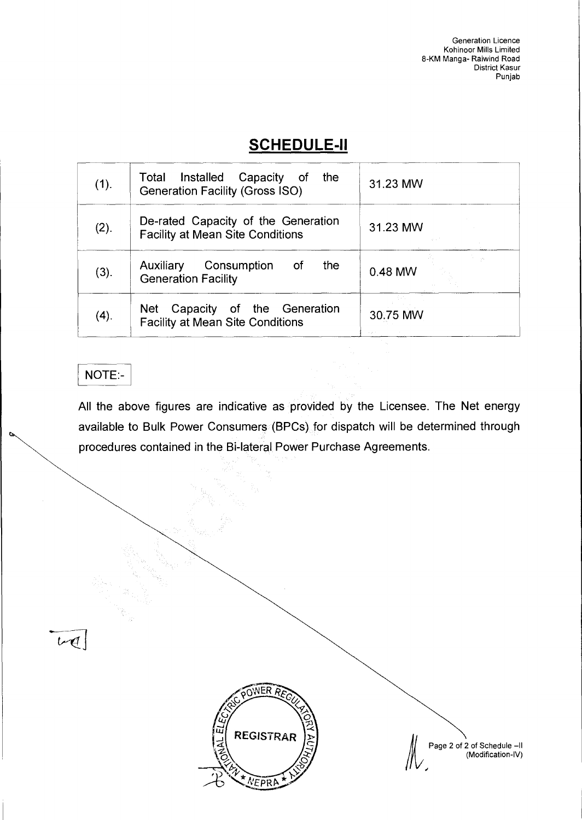# **SCHEDULE-II**

| UVIILDULL'II |                                                                                       |                                  |  |  |  |
|--------------|---------------------------------------------------------------------------------------|----------------------------------|--|--|--|
| (1).         | Total Installed<br>Capacity<br>the<br>ot of<br><b>Generation Facility (Gross ISO)</b> | 31.23 MW                         |  |  |  |
| (2).         | De-rated Capacity of the Generation<br><b>Facility at Mean Site Conditions</b>        | 31.23 MW                         |  |  |  |
| (3).         | Consumption<br>the<br>Auxiliary<br>of<br><b>Generation Facility</b>                   | $\mathcal{A}_\lambda$<br>0.48 MW |  |  |  |
| (4).         | Capacity of the Generation<br>Net<br><b>Facility at Mean Site Conditions</b>          | 30.75 MW                         |  |  |  |

# NOTE:-

 $tr\mathcal{A}$ 

All the above figures are indicative as provided by the Licensee. The Net energy available to Bulk Power Consumers (BPCs) for dispatch will be determined through procedures contained in the Bi-lateral Power Purchase Agreements.



 $\begin{matrix} \mathbb{R} \\ \mathbb{R} \\ \mathbb{R} \end{matrix}$  Page 2 of 2 of Schedule –II